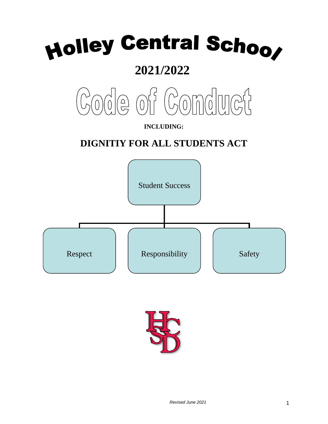# Holley Central Schoo

# **2021/2022**



### **INCLUDING:**

# **DIGNITIY FOR ALL STUDENTS ACT**



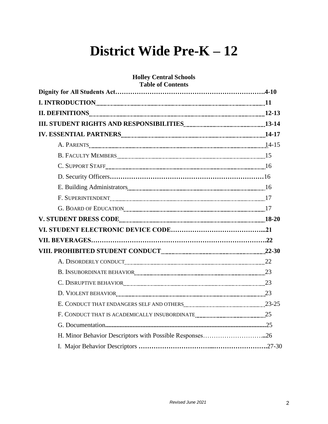# **District Wide Pre-K – 12**

# **Holley Central Schools Table of Contents Dignity for All Students Act…………………………………………………………….4-10 I. INTRODUCTION 11 II. DEFINITIONS 12-13 III. STUDENT RIGHTS AND RESPONSIBILITIES 13-14 IV. ESSENTIAL PARTNERS 14-17** A. PARENTS 14-15 B. FACULTY MEMBERS 15 C. SUPPORT STAFF 16 D. Security Officers**………………………………………………………………**16 E. Building Administrators 16 F. SUPERINTENDENT 17 G. BOARD OF EDUCATION 17 **V. STUDENT DRESS CODE 18-20 VI. STUDENT ELECTRONIC DEVICE CODE……………………………………...21 VII. BEVERAGES……………………………………………………………………….22 VIII. PROHIBITED STUDENT CONDUCT 22-30** A. DISORDERLY CONDUCT 22 B. INSUBORDINATE BEHAVIOR 23 C. DISRUPTIVE BEHAVIOR **23** D. VIOLENT BEHAVIOR 23 E. CONDUCT THAT ENDANGERS SELF AND OTHERS 23-25 F. CONDUCT THAT IS ACADEMICALLY INSUBORDINATE 25 G. Documentation**....................................................................................................**25 H. Minor Behavior Descriptors with Possible Responses……………………….**..**26 I. Major Behavior Descriptors **……………………………...…………………….**27-30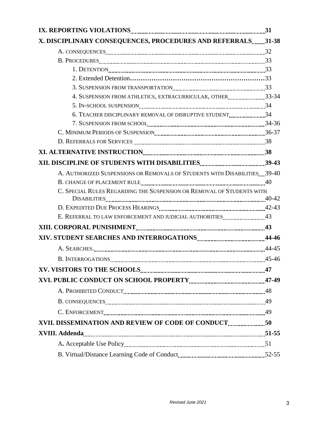| X. DISCIPLINARY CONSEQUENCES, PROCEDURES AND REFERRALS31-38               |  |
|---------------------------------------------------------------------------|--|
|                                                                           |  |
|                                                                           |  |
|                                                                           |  |
|                                                                           |  |
|                                                                           |  |
| 4. SUSPENSION FROM ATHLETICS, EXTRACURRICULAR, OTHER33-34                 |  |
|                                                                           |  |
| 6. TEACHER DISCIPLINARY REMOVAL OF DISRUPTIVE STUDENT34                   |  |
|                                                                           |  |
|                                                                           |  |
|                                                                           |  |
|                                                                           |  |
|                                                                           |  |
| A. AUTHORIZED SUSPENSIONS OR REMOVALS OF STUDENTS WITH DISABILITIES 39-40 |  |
|                                                                           |  |
| C. SPECIAL RULES REGARDING THE SUSPENSION OR REMOVAL OF STUDENTS WITH     |  |
|                                                                           |  |
|                                                                           |  |
|                                                                           |  |
|                                                                           |  |
|                                                                           |  |
|                                                                           |  |
|                                                                           |  |
|                                                                           |  |
|                                                                           |  |
|                                                                           |  |
|                                                                           |  |
| XVII. DISSEMINATION AND REVIEW OF CODE OF CONDUCT50                       |  |
|                                                                           |  |
|                                                                           |  |
|                                                                           |  |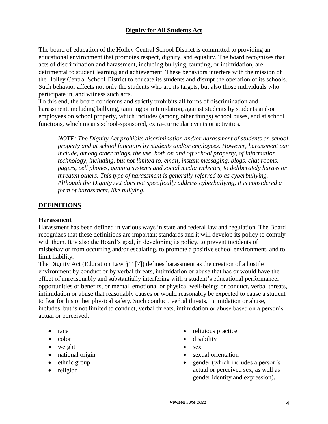#### **Dignity for All Students Act**

The board of education of the Holley Central School District is committed to providing an educational environment that promotes respect, dignity, and equality. The board recognizes that acts of discrimination and harassment, including bullying, taunting, or intimidation, are detrimental to student learning and achievement. These behaviors interfere with the mission of the Holley Central School District to educate its students and disrupt the operation of its schools. Such behavior affects not only the students who are its targets, but also those individuals who participate in, and witness such acts.

To this end, the board condemns and strictly prohibits all forms of discrimination and harassment, including bullying, taunting or intimidation, against students by students and/or employees on school property, which includes (among other things) school buses, and at school functions, which means school-sponsored, extra-curricular events or activities.

*NOTE: The Dignity Act prohibits discrimination and/or harassment of students on school property and at school functions by students and/or employees. However, harassment can include, among other things, the use, both on and off school property, of information technology, including, but not limited to, email, instant messaging, blogs, chat rooms, pagers, cell phones, gaming systems and social media websites, to deliberately harass or threaten others. This type of harassment is generally referred to as cyberbullying. Although the Dignity Act does not specifically address cyberbullying, it is considered a form of harassment, like bullying.* 

#### **DEFINITIONS**

#### **Harassment**

Harassment has been defined in various ways in state and federal law and regulation. The Board recognizes that these definitions are important standards and it will develop its policy to comply with them. It is also the Board's goal, in developing its policy, to prevent incidents of misbehavior from occurring and/or escalating, to promote a positive school environment, and to limit liability.

The Dignity Act (Education Law §11[7]) defines harassment as the creation of a hostile environment by conduct or by verbal threats, intimidation or abuse that has or would have the effect of unreasonably and substantially interfering with a student's educational performance, opportunities or benefits, or mental, emotional or physical well-being; or conduct, verbal threats, intimidation or abuse that reasonably causes or would reasonably be expected to cause a student to fear for his or her physical safety. Such conduct, verbal threats, intimidation or abuse, includes, but is not limited to conduct, verbal threats, intimidation or abuse based on a person's actual or perceived:

- race
- $\bullet$  color
- weight
- national origin
- ethnic group
- religion
- religious practice
- disability
- sex
- sexual orientation
- gender (which includes a person's actual or perceived sex, as well as gender identity and expression).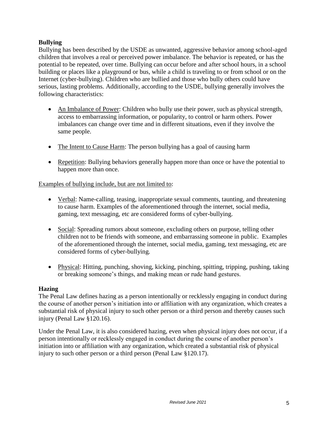#### **Bullying**

Bullying has been described by the USDE as unwanted, aggressive behavior among school-aged children that involves a real or perceived power imbalance. The behavior is repeated, or has the potential to be repeated, over time. Bullying can occur before and after school hours, in a school building or places like a playground or bus, while a child is traveling to or from school or on the Internet (cyber-bullying). Children who are bullied and those who bully others could have serious, lasting problems. Additionally, according to the USDE, bullying generally involves the following characteristics:

- An Imbalance of Power: Children who bully use their power, such as physical strength, access to embarrassing information, or popularity, to control or harm others. Power imbalances can change over time and in different situations, even if they involve the same people.
- The Intent to Cause Harm: The person bullying has a goal of causing harm
- Repetition: Bullying behaviors generally happen more than once or have the potential to happen more than once.

#### Examples of bullying include, but are not limited to:

- Verbal: Name-calling, teasing, inappropriate sexual comments, taunting, and threatening to cause harm. Examples of the aforementioned through the internet, social media, gaming, text messaging, etc are considered forms of cyber-bullying.
- Social: Spreading rumors about someone, excluding others on purpose, telling other children not to be friends with someone, and embarrassing someone in public. Examples of the aforementioned through the internet, social media, gaming, text messaging, etc are considered forms of cyber-bullying.
- Physical: Hitting, punching, shoving, kicking, pinching, spitting, tripping, pushing, taking or breaking someone's things, and making mean or rude hand gestures.

#### **Hazing**

The Penal Law defines hazing as a person intentionally or recklessly engaging in conduct during the course of another person's initiation into or affiliation with any organization, which creates a substantial risk of physical injury to such other person or a third person and thereby causes such injury (Penal Law §120.16).

Under the Penal Law, it is also considered hazing, even when physical injury does not occur, if a person intentionally or recklessly engaged in conduct during the course of another person's initiation into or affiliation with any organization, which created a substantial risk of physical injury to such other person or a third person (Penal Law §120.17).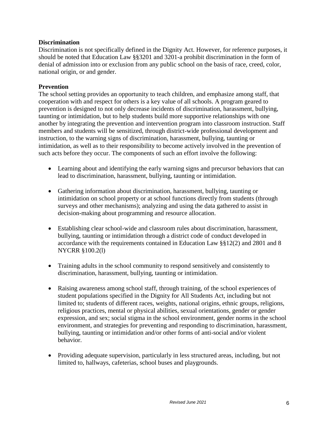#### **Discrimination**

Discrimination is not specifically defined in the Dignity Act. However, for reference purposes, it should be noted that Education Law §§3201 and 3201-a prohibit discrimination in the form of denial of admission into or exclusion from any public school on the basis of race, creed, color, national origin, or and gender.

#### **Prevention**

The school setting provides an opportunity to teach children, and emphasize among staff, that cooperation with and respect for others is a key value of all schools. A program geared to prevention is designed to not only decrease incidents of discrimination, harassment, bullying, taunting or intimidation, but to help students build more supportive relationships with one another by integrating the prevention and intervention program into classroom instruction. Staff members and students will be sensitized, through district-wide professional development and instruction, to the warning signs of discrimination, harassment, bullying, taunting or intimidation, as well as to their responsibility to become actively involved in the prevention of such acts before they occur. The components of such an effort involve the following:

- Learning about and identifying the early warning signs and precursor behaviors that can lead to discrimination, harassment, bullying, taunting or intimidation.
- Gathering information about discrimination, harassment, bullying, taunting or intimidation on school property or at school functions directly from students (through surveys and other mechanisms); analyzing and using the data gathered to assist in decision-making about programming and resource allocation.
- Establishing clear school-wide and classroom rules about discrimination, harassment, bullying, taunting or intimidation through a district code of conduct developed in accordance with the requirements contained in Education Law §§12(2) and 2801 and 8 NYCRR §100.2(l)
- Training adults in the school community to respond sensitively and consistently to discrimination, harassment, bullying, taunting or intimidation.
- Raising awareness among school staff, through training, of the school experiences of student populations specified in the Dignity for All Students Act, including but not limited to; students of different races, weights, national origins, ethnic groups, religions, religious practices, mental or physical abilities, sexual orientations, gender or gender expression, and sex; social stigma in the school environment, gender norms in the school environment, and strategies for preventing and responding to discrimination, harassment, bullying, taunting or intimidation and/or other forms of anti-social and/or violent behavior.
- Providing adequate supervision, particularly in less structured areas, including, but not limited to, hallways, cafeterias, school buses and playgrounds.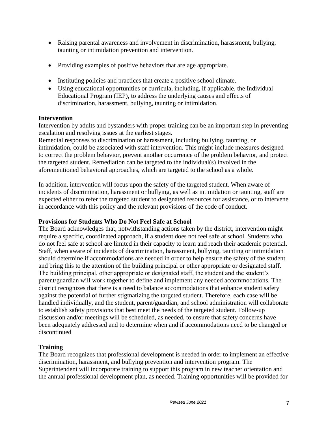- Raising parental awareness and involvement in discrimination, harassment, bullying, taunting or intimidation prevention and intervention.
- Providing examples of positive behaviors that are age appropriate.
- Instituting policies and practices that create a positive school climate.
- Using educational opportunities or curricula, including, if applicable, the Individual Educational Program (IEP), to address the underlying causes and effects of discrimination, harassment, bullying, taunting or intimidation.

#### **Intervention**

Intervention by adults and bystanders with proper training can be an important step in preventing escalation and resolving issues at the earliest stages.

Remedial responses to discrimination or harassment, including bullying, taunting, or intimidation, could be associated with staff intervention. This might include measures designed to correct the problem behavior, prevent another occurrence of the problem behavior, and protect the targeted student. Remediation can be targeted to the individual(s) involved in the aforementioned behavioral approaches, which are targeted to the school as a whole.

In addition, intervention will focus upon the safety of the targeted student. When aware of incidents of discrimination, harassment or bullying, as well as intimidation or taunting, staff are expected either to refer the targeted student to designated resources for assistance, or to intervene in accordance with this policy and the relevant provisions of the code of conduct.

#### **Provisions for Students Who Do Not Feel Safe at School**

The Board acknowledges that, notwithstanding actions taken by the district, intervention might require a specific, coordinated approach, if a student does not feel safe at school. Students who do not feel safe at school are limited in their capacity to learn and reach their academic potential. Staff, when aware of incidents of discrimination, harassment, bullying, taunting or intimidation should determine if accommodations are needed in order to help ensure the safety of the student and bring this to the attention of the building principal or other appropriate or designated staff. The building principal, other appropriate or designated staff, the student and the student's parent/guardian will work together to define and implement any needed accommodations. The district recognizes that there is a need to balance accommodations that enhance student safety against the potential of further stigmatizing the targeted student. Therefore, each case will be handled individually, and the student, parent/guardian, and school administration will collaborate to establish safety provisions that best meet the needs of the targeted student. Follow-up discussion and/or meetings will be scheduled, as needed, to ensure that safety concerns have been adequately addressed and to determine when and if accommodations need to be changed or discontinued

#### **Training**

The Board recognizes that professional development is needed in order to implement an effective discrimination, harassment, and bullying prevention and intervention program. The Superintendent will incorporate training to support this program in new teacher orientation and the annual professional development plan, as needed. Training opportunities will be provided for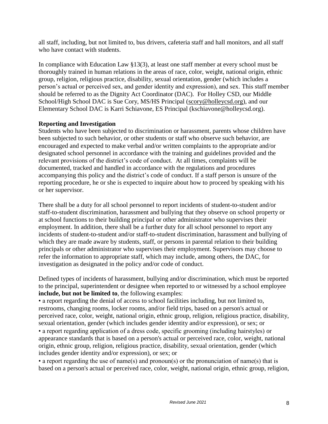all staff, including, but not limited to, bus drivers, cafeteria staff and hall monitors, and all staff who have contact with students.

In compliance with Education Law §13(3), at least one staff member at every school must be thoroughly trained in human relations in the areas of race, color, weight, national origin, ethnic group, religion, religious practice, disability, sexual orientation, gender (which includes a person's actual or perceived sex, and gender identity and expression), and sex. This staff member should be referred to as the Dignity Act Coordinator (DAC). For Holley CSD, our Middle School/High School DAC is Sue Cory, MS/HS Principal [\(scory@holleycsd.org\)](mailto:scory@holleycsd.org), and our Elementary School DAC is Karri Schiavone, ES Principal (kschiavone@holleycsd.org).

#### **Reporting and Investigation**

Students who have been subjected to discrimination or harassment, parents whose children have been subjected to such behavior, or other students or staff who observe such behavior, are encouraged and expected to make verbal and/or written complaints to the appropriate and/or designated school personnel in accordance with the training and guidelines provided and the relevant provisions of the district's code of conduct. At all times, complaints will be documented, tracked and handled in accordance with the regulations and procedures accompanying this policy and the district's code of conduct. If a staff person is unsure of the reporting procedure, he or she is expected to inquire about how to proceed by speaking with his or her supervisor.

There shall be a duty for all school personnel to report incidents of student-to-student and/or staff-to-student discrimination, harassment and bullying that they observe on school property or at school functions to their building principal or other administrator who supervises their employment. In addition, there shall be a further duty for all school personnel to report any incidents of student-to-student and/or staff-to-student discrimination, harassment and bullying of which they are made aware by students, staff, or persons in parental relation to their building principals or other administrator who supervises their employment. Supervisors may choose to refer the information to appropriate staff, which may include, among others, the DAC, for investigation as designated in the policy and/or code of conduct.

Defined types of incidents of harassment, bullying and/or discrimination, which must be reported to the principal, superintendent or designee when reported to or witnessed by a school employee **include, but not be limited to**, the following examples:

• a report regarding the denial of access to school facilities including, but not limited to, restrooms, changing rooms, locker rooms, and/or field trips, based on a person's actual or perceived race, color, weight, national origin, ethnic group, religion, religious practice, disability, sexual orientation, gender (which includes gender identity and/or expression), or sex; or • a report regarding application of a dress code, specific grooming (including hairstyles) or appearance standards that is based on a person's actual or perceived race, color, weight, national origin, ethnic group, religion, religious practice, disability, sexual orientation, gender (which includes gender identity and/or expression), or sex; or

• a report regarding the use of name(s) and pronoun(s) or the pronunciation of name(s) that is based on a person's actual or perceived race, color, weight, national origin, ethnic group, religion,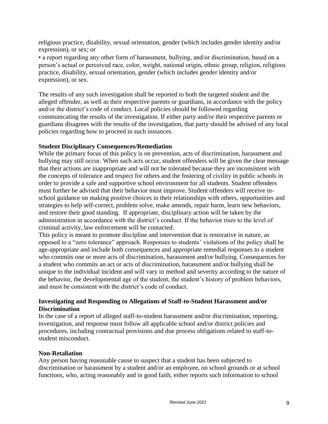religious practice, disability, sexual orientation, gender (which includes gender identity and/or expression), or sex; or

• a report regarding any other form of harassment, bullying, and/or discrimination, based on a person's actual or perceived race, color, weight, national origin, ethnic group, religion, religious practice, disability, sexual orientation, gender (which includes gender identity and/or expression), or sex.

The results of any such investigation shall be reported to both the targeted student and the alleged offender, as well as their respective parents or guardians, in accordance with the policy and/or the district's code of conduct. Local policies should be followed regarding communicating the results of the investigation. If either party and/or their respective parents or guardians disagrees with the results of the investigation, that party should be advised of any local policies regarding how to proceed in such instances.

#### **Student Disciplinary Consequences/Remediation**

While the primary focus of this policy is on prevention, acts of discrimination, harassment and bullying may still occur. When such acts occur, student offenders will be given the clear message that their actions are inappropriate and will not be tolerated because they are inconsistent with the concepts of tolerance and respect for others and the fostering of civility in public schools in order to provide a safe and supportive school environment for all students. Student offenders must further be advised that their behavior must improve. Student offenders will receive inschool guidance on making positive choices in their relationships with others, opportunities and strategies to help self-correct, problem solve, make amends, repair harm, learn new behaviors, and restore their good standing. If appropriate, disciplinary action will be taken by the administration in accordance with the district's conduct. If the behavior rises to the level of criminal activity, law enforcement will be contacted.

This policy is meant to promote discipline and intervention that is restorative in nature, as opposed to a "zero tolerance" approach. Responses to students' violations of the policy shall be age-appropriate and include both consequences and appropriate remedial responses to a student who commits one or more acts of discrimination, harassment and/or bullying*.* Consequences for a student who commits an act or acts of discrimination, harassment and/or bullying shall be unique to the individual incident and will vary in method and severity according to the nature of the behavior, the developmental age of the student, the student's history of problem behaviors, and must be consistent with the district's code of conduct.

#### **Investigating and Responding to Allegations of Staff-to-Student Harassment and/or Discrimination**

In the case of a report of alleged staff-to-student harassment and/or discrimination, reporting, investigation, and response must follow all applicable school and/or district policies and procedures, including contractual provisions and due process obligations related to staff-tostudent misconduct.

#### **Non-Retaliation**

Any person having reasonable cause to suspect that a student has been subjected to discrimination or harassment by a student and/or an employee, on school grounds or at school functions, who, acting reasonably and in good faith, either reports such information to school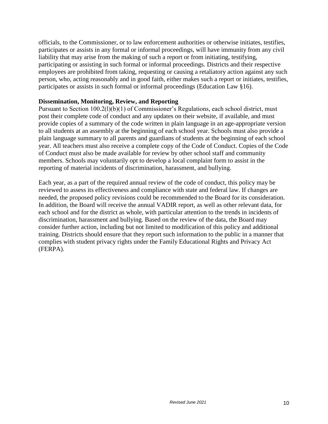officials, to the Commissioner, or to law enforcement authorities or otherwise initiates, testifies, participates or assists in any formal or informal proceedings, will have immunity from any civil liability that may arise from the making of such a report or from initiating, testifying, participating or assisting in such formal or informal proceedings. Districts and their respective employees are prohibited from taking, requesting or causing a retaliatory action against any such person, who, acting reasonably and in good faith, either makes such a report or initiates, testifies, participates or assists in such formal or informal proceedings (Education Law §16).

#### **Dissemination, Monitoring, Review, and Reporting**

Pursuant to Section 100.2(l)(b)(1) of Commissioner's Regulations, each school district, must post their complete code of conduct and any updates on their website, if available, and must provide copies of a summary of the code written in plain language in an age-appropriate version to all students at an assembly at the beginning of each school year. Schools must also provide a plain language summary to all parents and guardians of students at the beginning of each school year. All teachers must also receive a complete copy of the Code of Conduct. Copies of the Code of Conduct must also be made available for review by other school staff and community members. Schools may voluntarily opt to develop a local complaint form to assist in the reporting of material incidents of discrimination, harassment, and bullying.

Each year, as a part of the required annual review of the code of conduct, this policy may be reviewed to assess its effectiveness and compliance with state and federal law. If changes are needed, the proposed policy revisions could be recommended to the Board for its consideration. In addition, the Board will receive the annual VADIR report, as well as other relevant data, for each school and for the district as whole, with particular attention to the trends in incidents of discrimination, harassment and bullying. Based on the review of the data, the Board may consider further action, including but not limited to modification of this policy and additional training. Districts should ensure that they report such information to the public in a manner that complies with student privacy rights under the Family Educational Rights and Privacy Act (FERPA).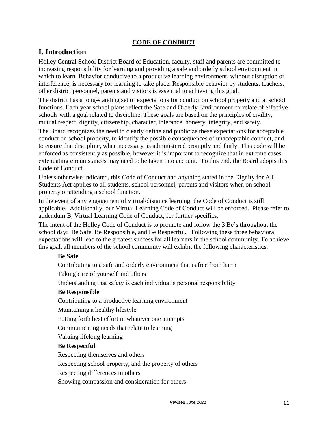#### **CODE OF CONDUCT**

#### **I. Introduction**

Holley Central School District Board of Education, faculty, staff and parents are committed to increasing responsibility for learning and providing a safe and orderly school environment in which to learn. Behavior conducive to a productive learning environment, without disruption or interference, is necessary for learning to take place. Responsible behavior by students, teachers, other district personnel, parents and visitors is essential to achieving this goal.

The district has a long-standing set of expectations for conduct on school property and at school functions. Each year school plans reflect the Safe and Orderly Environment correlate of effective schools with a goal related to discipline. These goals are based on the principles of civility, mutual respect, dignity, citizenship, character, tolerance, honesty, integrity, and safety.

The Board recognizes the need to clearly define and publicize these expectations for acceptable conduct on school property, to identify the possible consequences of unacceptable conduct, and to ensure that discipline, when necessary, is administered promptly and fairly. This code will be enforced as consistently as possible, however it is important to recognize that in extreme cases extenuating circumstances may need to be taken into account. To this end, the Board adopts this Code of Conduct.

Unless otherwise indicated, this Code of Conduct and anything stated in the Dignity for All Students Act applies to all students, school personnel, parents and visitors when on school property or attending a school function.

In the event of any engagement of virtual/distance learning, the Code of Conduct is still applicable. Additionally, our Virtual Learning Code of Conduct will be enforced. Please refer to addendum B, Virtual Learning Code of Conduct, for further specifics.

The intent of the Holley Code of Conduct is to promote and follow the 3 Be's throughout the school day: Be Safe, Be Responsible, and Be Respectful. Following these three behavioral expectations will lead to the greatest success for all learners in the school community. To achieve this goal, all members of the school community will exhibit the following characteristics:

#### **Be Safe**

Contributing to a safe and orderly environment that is free from harm

Taking care of yourself and others

Understanding that safety is each individual's personal responsibility

#### **Be Responsible**

Contributing to a productive learning environment

Maintaining a healthy lifestyle

Putting forth best effort in whatever one attempts

Communicating needs that relate to learning

Valuing lifelong learning

#### **Be Respectful**

Respecting themselves and others

Respecting school property, and the property of others

Respecting differences in others

Showing compassion and consideration for others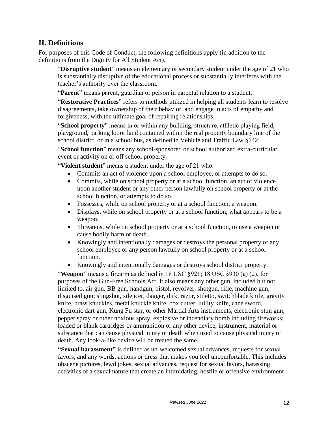#### **II. Definitions**

For purposes of this Code of Conduct, the following definitions apply (in addition to the definitions from the Dignity for All Student Act).

"**Disruptive student**" means an elementary or secondary student under the age of 21 who is substantially disruptive of the educational process or substantially interferes with the teacher's authority over the classroom.

"**Parent**" means parent, guardian or person in parental relation to a student.

"**Restorative Practices**" refers to methods utilized in helping all students learn to resolve disagreements, take ownership of their behavior, and engage in acts of empathy and forgiveness, with the ultimate goal of repairing relationships.

"**School property**" means in or within any building, structure, athletic playing field, playground, parking lot or land contained within the real property boundary line of the school district, or in a school bus, as defined in Vehicle and Traffic Law §142.

"**School function**" means any school-sponsored or school authorized extra-curricular event or activity on or off school property.

"**Violent student**" means a student under the age of 21 who:

- Commits an act of violence upon a school employee, or attempts to do so.
- Commits, while on school property or at a school function, an act of violence upon another student or any other person lawfully on school property or at the school function, or attempts to do so.
- Possesses, while on school property or at a school function, a weapon.
- Displays, while on school property or at a school function, what appears to be a weapon.
- Threatens, while on school property or at a school function, to use a weapon or cause bodily harm or death.
- Knowingly and intentionally damages or destroys the personal property of any school employee or any person lawfully on school property or at a school function.
- Knowingly and intentionally damages or destroys school district property.

"**Weapon**" means a firearm as defined in 18 USC  $\S$ 921; 18 USC  $\S$ 930 (g) (2), for purposes of the Gun-Free Schools Act. It also means any other gun, included but not limited to, air gun, BB gun, handgun, pistol, revolver, shotgun, rifle, machine gun, disguised gun; slingshot, silencer, dagger, dirk, razor, stiletto, switchblade knife, gravity knife, brass knuckles, metal knuckle knife, box cutter, utility knife, cane sword, electronic dart gun, Kung Fu star, or other Martial Arts instruments, electronic stun gun, pepper spray or other noxious spray, explosive or incendiary bomb including fireworks; loaded or blank cartridges or ammunition or any other device, instrument, material or substance that can cause physical injury or death when used to cause physical injury or death. Any look-a-like device will be treated the same.

**"Sexual harassment"** is defined as un-welcomed sexual advances, requests for sexual favors, and any words, actions or dress that makes you feel uncomfortable. This includes obscene pictures, lewd jokes, sexual advances, request for sexual favors, harassing activities of a sexual nature that create an intimidating, hostile or offensive environment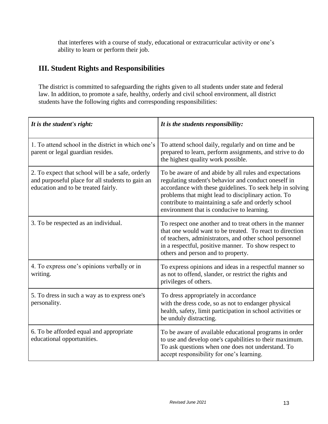that interferes with a course of study, educational or extracurricular activity or one's ability to learn or perform their job.

#### **III. Student Rights and Responsibilities**

The district is committed to safeguarding the rights given to all students under state and federal law. In addition, to promote a safe, healthy, orderly and civil school environment, all district students have the following rights and corresponding responsibilities:

| It is the student's right:                                                                                                                  | It is the students responsibility:                                                                                                                                                                                                                                                                                                      |
|---------------------------------------------------------------------------------------------------------------------------------------------|-----------------------------------------------------------------------------------------------------------------------------------------------------------------------------------------------------------------------------------------------------------------------------------------------------------------------------------------|
| 1. To attend school in the district in which one's<br>parent or legal guardian resides.                                                     | To attend school daily, regularly and on time and be<br>prepared to learn, perform assignments, and strive to do<br>the highest quality work possible.                                                                                                                                                                                  |
| 2. To expect that school will be a safe, orderly<br>and purposeful place for all students to gain an<br>education and to be treated fairly. | To be aware of and abide by all rules and expectations<br>regulating student's behavior and conduct oneself in<br>accordance with these guidelines. To seek help in solving<br>problems that might lead to disciplinary action. To<br>contribute to maintaining a safe and orderly school<br>environment that is conducive to learning. |
| 3. To be respected as an individual.                                                                                                        | To respect one another and to treat others in the manner<br>that one would want to be treated. To react to direction<br>of teachers, administrators, and other school personnel<br>in a respectful, positive manner. To show respect to<br>others and person and to property.                                                           |
| 4. To express one's opinions verbally or in<br>writing.                                                                                     | To express opinions and ideas in a respectful manner so<br>as not to offend, slander, or restrict the rights and<br>privileges of others.                                                                                                                                                                                               |
| 5. To dress in such a way as to express one's<br>personality.                                                                               | To dress appropriately in accordance<br>with the dress code, so as not to endanger physical<br>health, safety, limit participation in school activities or<br>be unduly distracting.                                                                                                                                                    |
| 6. To be afforded equal and appropriate<br>educational opportunities.                                                                       | To be aware of available educational programs in order<br>to use and develop one's capabilities to their maximum.<br>To ask questions when one does not understand. To<br>accept responsibility for one's learning.                                                                                                                     |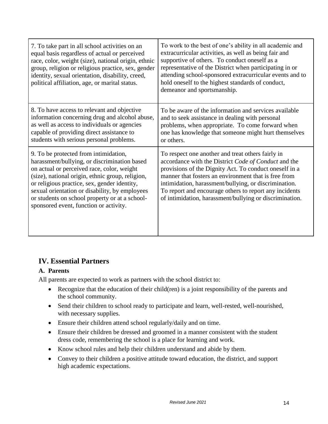| 7. To take part in all school activities on an<br>equal basis regardless of actual or perceived<br>race, color, weight (size), national origin, ethnic<br>group, religion or religious practice, sex, gender<br>identity, sexual orientation, disability, creed,<br>political affiliation, age, or marital status.                                                                    | To work to the best of one's ability in all academic and<br>extracurricular activities, as well as being fair and<br>supportive of others. To conduct oneself as a<br>representative of the District when participating in or<br>attending school-sponsored extracurricular events and to<br>hold oneself to the highest standards of conduct,<br>demeanor and sportsmanship.                             |
|---------------------------------------------------------------------------------------------------------------------------------------------------------------------------------------------------------------------------------------------------------------------------------------------------------------------------------------------------------------------------------------|-----------------------------------------------------------------------------------------------------------------------------------------------------------------------------------------------------------------------------------------------------------------------------------------------------------------------------------------------------------------------------------------------------------|
| 8. To have access to relevant and objective<br>information concerning drug and alcohol abuse,<br>as well as access to individuals or agencies<br>capable of providing direct assistance to<br>students with serious personal problems.                                                                                                                                                | To be aware of the information and services available<br>and to seek assistance in dealing with personal<br>problems, when appropriate. To come forward when<br>one has knowledge that someone might hurt themselves<br>or others.                                                                                                                                                                        |
| 9. To be protected from intimidation,<br>harassment/bullying, or discrimination based<br>on actual or perceived race, color, weight<br>(size), national origin, ethnic group, religion,<br>or religious practice, sex, gender identity,<br>sexual orientation or disability, by employees<br>or students on school property or at a school-<br>sponsored event, function or activity. | To respect one another and treat others fairly in<br>accordance with the District Code of Conduct and the<br>provisions of the Dignity Act. To conduct oneself in a<br>manner that fosters an environment that is free from<br>intimidation, harassment/bullying, or discrimination.<br>To report and encourage others to report any incidents<br>of intimidation, harassment/bullying or discrimination. |

#### **IV. Essential Partners**

#### **A. Parents**

All parents are expected to work as partners with the school district to:

- Recognize that the education of their child(ren) is a joint responsibility of the parents and the school community.
- Send their children to school ready to participate and learn, well-rested, well-nourished, with necessary supplies.
- Ensure their children attend school regularly/daily and on time.
- Ensure their children be dressed and groomed in a manner consistent with the student dress code, remembering the school is a place for learning and work.
- Know school rules and help their children understand and abide by them.
- Convey to their children a positive attitude toward education, the district, and support high academic expectations.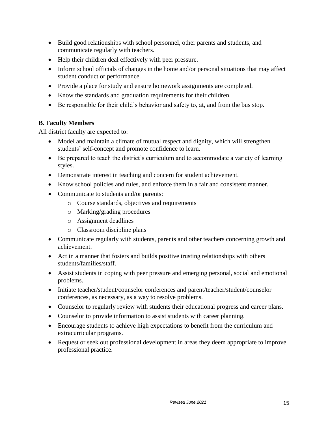- Build good relationships with school personnel, other parents and students, and communicate regularly with teachers.
- Help their children deal effectively with peer pressure.
- Inform school officials of changes in the home and/or personal situations that may affect student conduct or performance.
- Provide a place for study and ensure homework assignments are completed.
- Know the standards and graduation requirements for their children.
- Be responsible for their child's behavior and safety to, at, and from the bus stop.

#### **B. Faculty Members**

All district faculty are expected to:

- Model and maintain a climate of mutual respect and dignity, which will strengthen students' self-concept and promote confidence to learn.
- Be prepared to teach the district's curriculum and to accommodate a variety of learning styles.
- Demonstrate interest in teaching and concern for student achievement.
- Know school policies and rules, and enforce them in a fair and consistent manner.
- Communicate to students and/or parents:
	- o Course standards, objectives and requirements
	- o Marking/grading procedures
	- o Assignment deadlines
	- o Classroom discipline plans
- Communicate regularly with students, parents and other teachers concerning growth and achievement.
- Act in a manner that fosters and builds positive trusting relationships with others students/families/staff.
- Assist students in coping with peer pressure and emerging personal, social and emotional problems.
- Initiate teacher/student/counselor conferences and parent/teacher/student/counselor conferences, as necessary, as a way to resolve problems.
- Counselor to regularly review with students their educational progress and career plans.
- Counselor to provide information to assist students with career planning.
- Encourage students to achieve high expectations to benefit from the curriculum and extracurricular programs.
- Request or seek out professional development in areas they deem appropriate to improve professional practice.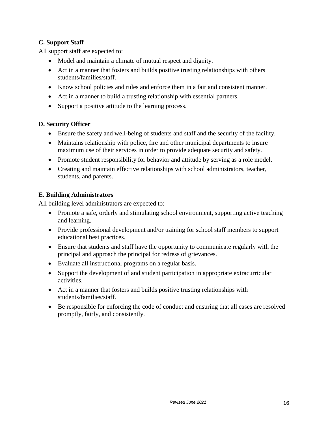#### **C. Support Staff**

All support staff are expected to:

- Model and maintain a climate of mutual respect and dignity.
- Act in a manner that fosters and builds positive trusting relationships with others students/families/staff.
- Know school policies and rules and enforce them in a fair and consistent manner.
- Act in a manner to build a trusting relationship with essential partners.
- Support a positive attitude to the learning process.

#### **D. Security Officer**

- Ensure the safety and well-being of students and staff and the security of the facility.
- Maintains relationship with police, fire and other municipal departments to insure maximum use of their services in order to provide adequate security and safety.
- Promote student responsibility for behavior and attitude by serving as a role model.
- Creating and maintain effective relationships with school administrators, teacher, students, and parents.

#### **E. Building Administrators**

All building level administrators are expected to:

- Promote a safe, orderly and stimulating school environment, supporting active teaching and learning.
- Provide professional development and/or training for school staff members to support educational best practices.
- Ensure that students and staff have the opportunity to communicate regularly with the principal and approach the principal for redress of grievances.
- Evaluate all instructional programs on a regular basis.
- Support the development of and student participation in appropriate extracurricular activities.
- Act in a manner that fosters and builds positive trusting relationships with students/families/staff.
- Be responsible for enforcing the code of conduct and ensuring that all cases are resolved promptly, fairly, and consistently.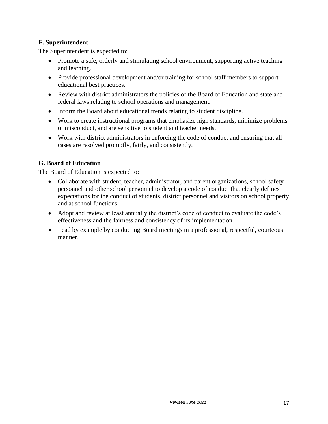#### **F. Superintendent**

The Superintendent is expected to:

- Promote a safe, orderly and stimulating school environment, supporting active teaching and learning.
- Provide professional development and/or training for school staff members to support educational best practices.
- Review with district administrators the policies of the Board of Education and state and federal laws relating to school operations and management.
- Inform the Board about educational trends relating to student discipline.
- Work to create instructional programs that emphasize high standards, minimize problems of misconduct, and are sensitive to student and teacher needs.
- Work with district administrators in enforcing the code of conduct and ensuring that all cases are resolved promptly, fairly, and consistently.

#### **G. Board of Education**

The Board of Education is expected to:

- Collaborate with student, teacher, administrator, and parent organizations, school safety personnel and other school personnel to develop a code of conduct that clearly defines expectations for the conduct of students, district personnel and visitors on school property and at school functions.
- Adopt and review at least annually the district's code of conduct to evaluate the code's effectiveness and the fairness and consistency of its implementation.
- Lead by example by conducting Board meetings in a professional, respectful, courteous manner.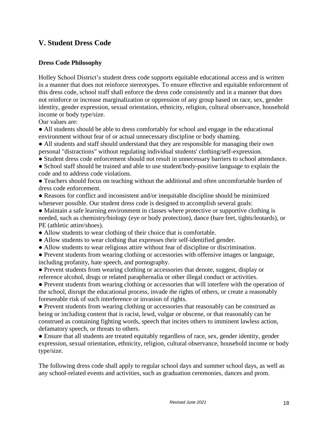#### **V. Student Dress Code**

#### **Dress Code Philosophy**

Holley School District's student dress code supports equitable educational access and is written in a manner that does not reinforce stereotypes. To ensure effective and equitable enforcement of this dress code, school staff shall enforce the dress code consistently and in a manner that does not reinforce or increase marginalization or oppression of any group based on race, sex, gender identity, gender expression, sexual orientation, ethnicity, religion, cultural observance, household income or body type/size.

Our values are:

● All students should be able to dress comfortably for school and engage in the educational environment without fear of or actual unnecessary discipline or body shaming.

● All students and staff should understand that they are responsible for managing their own personal "distractions" without regulating individual students' clothing/self-expression.

● Student dress code enforcement should not result in unnecessary barriers to school attendance.

• School staff should be trained and able to use student/body-positive language to explain the code and to address code violations.

● Teachers should focus on teaching without the additional and often uncomfortable burden of dress code enforcement.

● Reasons for conflict and inconsistent and/or inequitable discipline should be minimized whenever possible. Our student dress code is designed to accomplish several goals:

● Maintain a safe learning environment in classes where protective or supportive clothing is needed, such as chemistry/biology (eye or body protection), dance (bare feet, tights/leotards), or PE (athletic attire/shoes).

- Allow students to wear clothing of their choice that is comfortable.
- Allow students to wear clothing that expresses their self-identified gender.
- Allow students to wear religious attire without fear of discipline or discrimination.

● Prevent students from wearing clothing or accessories with offensive images or language, including profanity, hate speech, and pornography.

● Prevent students from wearing clothing or accessories that denote, suggest, display or reference alcohol, drugs or related paraphernalia or other illegal conduct or activities.

• Prevent students from wearing clothing or accessories that will interfere with the operation of the school, disrupt the educational process, invade the rights of others, or create a reasonably foreseeable risk of such interference or invasion of rights.

● Prevent students from wearing clothing or accessories that reasonably can be construed as being or including content that is racist, lewd, vulgar or obscene, or that reasonably can be construed as containing fighting words, speech that incites others to imminent lawless action, defamatory speech, or threats to others.

● Ensure that all students are treated equitably regardless of race, sex, gender identity, gender expression, sexual orientation, ethnicity, religion, cultural observance, household income or body type/size.

The following dress code shall apply to regular school days and summer school days, as well as any school-related events and activities, such as graduation ceremonies, dances and prom.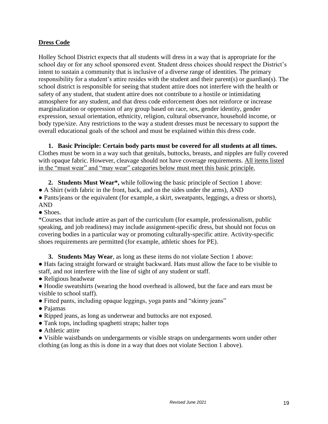#### **Dress Code**

Holley School District expects that all students will dress in a way that is appropriate for the school day or for any school sponsored event. Student dress choices should respect the District's intent to sustain a community that is inclusive of a diverse range of identities. The primary responsibility for a student's attire resides with the student and their parent(s) or guardian(s). The school district is responsible for seeing that student attire does not interfere with the health or safety of any student, that student attire does not contribute to a hostile or intimidating atmosphere for any student, and that dress code enforcement does not reinforce or increase marginalization or oppression of any group based on race, sex, gender identity, gender expression, sexual orientation, ethnicity, religion, cultural observance, household income, or body type/size. Any restrictions to the way a student dresses must be necessary to support the overall educational goals of the school and must be explained within this dress code.

#### **1. Basic Principle: Certain body parts must be covered for all students at all times.**

Clothes must be worn in a way such that genitals, buttocks, breasts, and nipples are fully covered with opaque fabric. However, cleavage should not have coverage requirements. All items listed in the "must wear" and "may wear" categories below must meet this basic principle.

**2. Students Must Wear\*,** while following the basic principle of Section 1 above:

• A Shirt (with fabric in the front, back, and on the sides under the arms), AND

• Pants/jeans or the equivalent (for example, a skirt, sweatpants, leggings, a dress or shorts), AND

• Shoes.

\*Courses that include attire as part of the curriculum (for example, professionalism, public speaking, and job readiness) may include assignment-specific dress, but should not focus on covering bodies in a particular way or promoting culturally-specific attire. Activity-specific shoes requirements are permitted (for example, athletic shoes for PE).

**3. Students May Wear**, as long as these items do not violate Section 1 above: ● Hats facing straight forward or straight backward. Hats must allow the face to be visible to staff, and not interfere with the line of sight of any student or staff.

● Religious headwear

● Hoodie sweatshirts (wearing the hood overhead is allowed, but the face and ears must be visible to school staff).

- Fitted pants, including opaque leggings, yoga pants and "skinny jeans"
- Pajamas
- Ripped jeans, as long as underwear and buttocks are not exposed.
- Tank tops, including spaghetti straps; halter tops
- Athletic attire

• Visible waistbands on undergarments or visible straps on undergarments worn under other clothing (as long as this is done in a way that does not violate Section 1 above).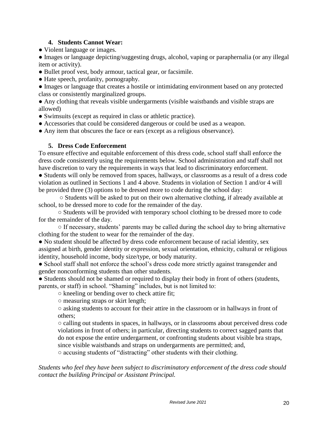#### **4. Students Cannot Wear:**

• Violent language or images.

● Images or language depicting/suggesting drugs, alcohol, vaping or paraphernalia (or any illegal item or activity).

- Bullet proof vest, body armour, tactical gear, or facsimile.
- Hate speech, profanity, pornography.
- Images or language that creates a hostile or intimidating environment based on any protected class or consistently marginalized groups.

● Any clothing that reveals visible undergarments (visible waistbands and visible straps are allowed)

- Swimsuits (except as required in class or athletic practice).
- Accessories that could be considered dangerous or could be used as a weapon.
- Any item that obscures the face or ears (except as a religious observance).

#### **5. Dress Code Enforcement**

To ensure effective and equitable enforcement of this dress code, school staff shall enforce the dress code consistently using the requirements below. School administration and staff shall not have discretion to vary the requirements in ways that lead to discriminatory enforcement.

● Students will only be removed from spaces, hallways, or classrooms as a result of a dress code violation as outlined in Sections 1 and 4 above. Students in violation of Section 1 and/or 4 will be provided three (3) options to be dressed more to code during the school day:

○ Students will be asked to put on their own alternative clothing, if already available at school, to be dressed more to code for the remainder of the day.

○ Students will be provided with temporary school clothing to be dressed more to code for the remainder of the day.

○ If necessary, students' parents may be called during the school day to bring alternative clothing for the student to wear for the remainder of the day.

• No student should be affected by dress code enforcement because of racial identity, sex assigned at birth, gender identity or expression, sexual orientation, ethnicity, cultural or religious identity, household income, body size/type, or body maturity.

• School staff shall not enforce the school's dress code more strictly against transgender and gender nonconforming students than other students.

• Students should not be shamed or required to display their body in front of others (students, parents, or staff) in school. "Shaming" includes, but is not limited to:

○ kneeling or bending over to check attire fit;

○ measuring straps or skirt length;

○ asking students to account for their attire in the classroom or in hallways in front of others;

○ calling out students in spaces, in hallways, or in classrooms about perceived dress code violations in front of others; in particular, directing students to correct sagged pants that do not expose the entire undergarment, or confronting students about visible bra straps, since visible waistbands and straps on undergarments are permitted; and,

○ accusing students of "distracting" other students with their clothing.

*Students who feel they have been subject to discriminatory enforcement of the dress code should contact the building Principal or Assistant Principal.*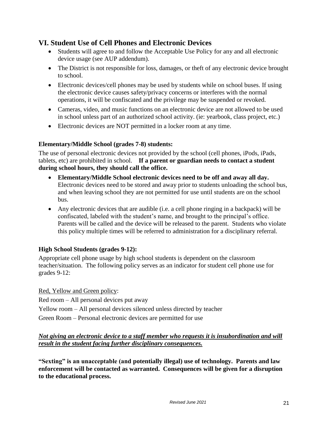#### **VI. Student Use of Cell Phones and Electronic Devices**

- Students will agree to and follow the Acceptable Use Policy for any and all electronic device usage (see AUP addendum).
- The District is not responsible for loss, damages, or theft of any electronic device brought to school.
- Electronic devices/cell phones may be used by students while on school buses. If using the electronic device causes safety/privacy concerns or interferes with the normal operations, it will be confiscated and the privilege may be suspended or revoked.
- Cameras, video, and music functions on an electronic device are not allowed to be used in school unless part of an authorized school activity. (ie: yearbook, class project, etc.)
- Electronic devices are NOT permitted in a locker room at any time.

#### **Elementary/Middle School (grades 7-8) students:**

The use of personal electronic devices not provided by the school (cell phones, iPods, iPads, tablets, etc) are prohibited in school. **If a parent or guardian needs to contact a student during school hours, they should call the office.** 

- **Elementary/Middle School electronic devices need to be off and away all day.**  Electronic devices need to be stored and away prior to students unloading the school bus, and when leaving school they are not permitted for use until students are on the school bus.
- Any electronic devices that are audible (i.e. a cell phone ringing in a backpack) will be confiscated, labeled with the student's name, and brought to the principal's office. Parents will be called and the device will be released to the parent. Students who violate this policy multiple times will be referred to administration for a disciplinary referral.

#### **High School Students (grades 9-12):**

Appropriate cell phone usage by high school students is dependent on the classroom teacher/situation.The following policy serves as an indicator for student cell phone use for grades 9-12:

Red, Yellow and Green policy:

Red room – All personal devices put away

Yellow room – All personal devices silenced unless directed by teacher

Green Room – Personal electronic devices are permitted for use

#### *Not giving an electronic device to a staff member who requests it is insubordination and will result in the student facing further disciplinary consequences.*

**"Sexting" is an unacceptable (and potentially illegal) use of technology. Parents and law enforcement will be contacted as warranted. Consequences will be given for a disruption to the educational process.**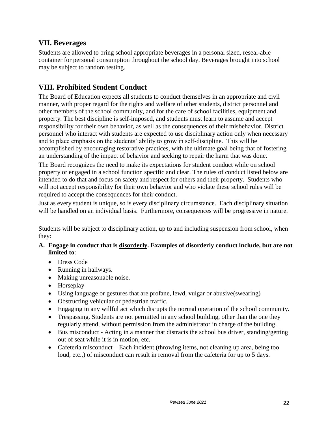#### **VII. Beverages**

Students are allowed to bring school appropriate beverages in a personal sized, reseal-able container for personal consumption throughout the school day. Beverages brought into school may be subject to random testing.

#### **VIII. Prohibited Student Conduct**

The Board of Education expects all students to conduct themselves in an appropriate and civil manner, with proper regard for the rights and welfare of other students, district personnel and other members of the school community, and for the care of school facilities, equipment and property. The best discipline is self-imposed, and students must learn to assume and accept responsibility for their own behavior, as well as the consequences of their misbehavior. District personnel who interact with students are expected to use disciplinary action only when necessary and to place emphasis on the students' ability to grow in self-discipline. This will be accomplished by encouraging restorative practices, with the ultimate goal being that of fostering an understanding of the impact of behavior and seeking to repair the harm that was done.

The Board recognizes the need to make its expectations for student conduct while on school property or engaged in a school function specific and clear. The rules of conduct listed below are intended to do that and focus on safety and respect for others and their property. Students who will not accept responsibility for their own behavior and who violate these school rules will be required to accept the consequences for their conduct.

Just as every student is unique, so is every disciplinary circumstance. Each disciplinary situation will be handled on an individual basis. Furthermore, consequences will be progressive in nature.

Students will be subject to disciplinary action, up to and including suspension from school, when they:

#### **A. Engage in conduct that is disorderly. Examples of disorderly conduct include, but are not limited to**:

- Dress Code
- Running in hallways.
- Making unreasonable noise.
- Horseplay
- Using language or gestures that are profane, lewd, vulgar or abusive(swearing)
- Obstructing vehicular or pedestrian traffic.
- Engaging in any willful act which disrupts the normal operation of the school community.
- Trespassing. Students are not permitted in any school building, other than the one they regularly attend, without permission from the administrator in charge of the building.
- Bus misconduct Acting in a manner that distracts the school bus driver, standing/getting out of seat while it is in motion, etc.
- Cafeteria misconduct Each incident (throwing items, not cleaning up area, being too loud, etc.,) of misconduct can result in removal from the cafeteria for up to 5 days.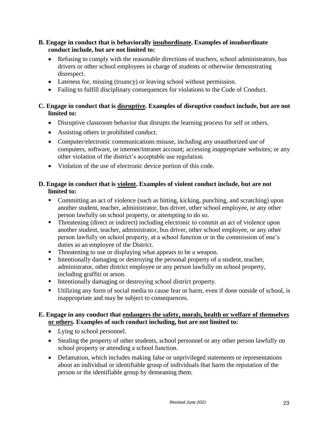#### **B. Engage in conduct that is behaviorally insubordinate. Examples of insubordinate conduct include, but are not limited to:**

- Refusing to comply with the reasonable directions of teachers, school administrators, bus drivers or other school employees in charge of students or otherwise demonstrating disrespect.
- Lateness for, missing (truancy) or leaving school without permission.
- Failing to fulfill disciplinary consequences for violations to the Code of Conduct.

#### **C. Engage in conduct that is disruptive. Examples of disruptive conduct include, but are not limited to:**

- Disruptive classroom behavior that disrupts the learning process for self or others.
- Assisting others in prohibited conduct.
- Computer/electronic communications misuse, including any unauthorized use of computers, software, or internet/intranet account; accessing inappropriate websites; or any other violation of the district's acceptable use regulation.
- Violation of the use of electronic device portion of this code.

#### **D. Engage in conduct that is violent. Examples of violent conduct include, but are not limited to:**

- Committing an act of violence (such as hitting, kicking, punching, and scratching) upon another student, teacher, administrator, bus driver, other school employee, or any other person lawfully on school property, or attempting to do so.
- **Threatening (direct or indirect) including electronic to commit an act of violence upon** another student, teacher, administrator, bus driver, other school employee, or any other person lawfully on school property, at a school function or in the commission of one's duties as an employee of the District.
- Threatening to use or displaying what appears to be a weapon.
- Intentionally damaging or destroying the personal property of a student, teacher, administrator, other district employee or any person lawfully on school property, including graffiti or arson.
- **Intentionally damaging or destroying school district property.**
- Utilizing any form of social media to cause fear or harm, even if done outside of school, is inappropriate and may be subject to consequences.

#### **E. Engage in any conduct that endangers the safety, morals, health or welfare of themselves or others. Examples of such conduct including, but are not limited to:**

- Lying to school personnel.
- Stealing the property of other students, school personnel or any other person lawfully on school property or attending a school function.
- Defamation, which includes making false or unprivileged statements or representations about an individual or identifiable group of individuals that harm the reputation of the person or the identifiable group by demeaning them.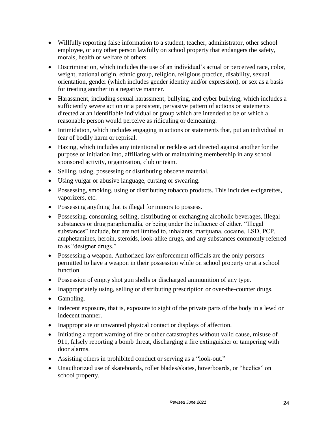- Willfully reporting false information to a student, teacher, administrator, other school employee, or any other person lawfully on school property that endangers the safety, morals, health or welfare of others.
- Discrimination, which includes the use of an individual's actual or perceived race, color, weight, national origin, ethnic group, religion, religious practice, disability, sexual orientation, gender (which includes gender identity and/or expression), or sex as a basis for treating another in a negative manner.
- Harassment, including sexual harassment, bullying, and cyber bullying, which includes a sufficiently severe action or a persistent, pervasive pattern of actions or statements directed at an identifiable individual or group which are intended to be or which a reasonable person would perceive as ridiculing or demeaning.
- Intimidation, which includes engaging in actions or statements that, put an individual in fear of bodily harm or reprisal.
- Hazing, which includes any intentional or reckless act directed against another for the purpose of initiation into, affiliating with or maintaining membership in any school sponsored activity, organization, club or team.
- Selling, using, possessing or distributing obscene material.
- Using vulgar or abusive language, cursing or swearing.
- Possessing, smoking, using or distributing tobacco products. This includes e-cigarettes, vaporizers, etc.
- Possessing anything that is illegal for minors to possess.
- Possessing, consuming, selling, distributing or exchanging alcoholic beverages, illegal substances or drug paraphernalia, or being under the influence of either. "Illegal substances" include, but are not limited to, inhalants, marijuana, cocaine, LSD, PCP, amphetamines, heroin, steroids, look-alike drugs, and any substances commonly referred to as "designer drugs."
- Possessing a weapon. Authorized law enforcement officials are the only persons permitted to have a weapon in their possession while on school property or at a school function.
- Possession of empty shot gun shells or discharged ammunition of any type.
- Inappropriately using, selling or distributing prescription or over-the-counter drugs.
- Gambling.
- Indecent exposure, that is, exposure to sight of the private parts of the body in a lewd or indecent manner.
- Inappropriate or unwanted physical contact or displays of affection.
- Initiating a report warning of fire or other catastrophes without valid cause, misuse of 911, falsely reporting a bomb threat, discharging a fire extinguisher or tampering with door alarms.
- Assisting others in prohibited conduct or serving as a "look-out."
- Unauthorized use of skateboards, roller blades/skates, hoverboards, or "heelies" on school property.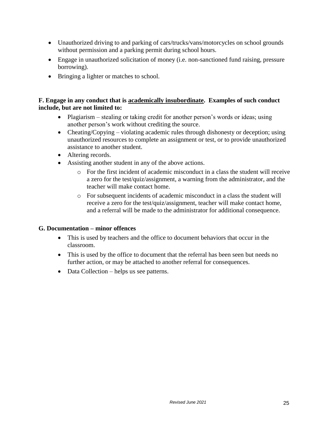- Unauthorized driving to and parking of cars/trucks/vans/motorcycles on school grounds without permission and a parking permit during school hours.
- Engage in unauthorized solicitation of money (i.e. non-sanctioned fund raising, pressure borrowing).
- Bringing a lighter or matches to school.

#### **F. Engage in any conduct that is academically insubordinate. Examples of such conduct include, but are not limited to:**

- Plagiarism stealing or taking credit for another person's words or ideas; using another person's work without crediting the source.
- Cheating/Copying violating academic rules through dishonesty or deception; using unauthorized resources to complete an assignment or test, or to provide unauthorized assistance to another student.
- Altering records.
- Assisting another student in any of the above actions.
	- $\circ$  For the first incident of academic misconduct in a class the student will receive a zero for the test/quiz/assignment, a warning from the administrator, and the teacher will make contact home.
	- o For subsequent incidents of academic misconduct in a class the student will receive a zero for the test/quiz/assignment, teacher will make contact home, and a referral will be made to the administrator for additional consequence.

#### **G. Documentation – minor offences**

- This is used by teachers and the office to document behaviors that occur in the classroom.
- This is used by the office to document that the referral has been seen but needs no further action, or may be attached to another referral for consequences.
- Data Collection helps us see patterns.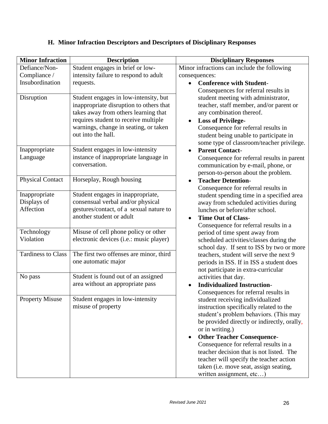| <b>Minor Infraction</b>   | <b>Description</b>                                                        | <b>Disciplinary Responses</b>                                             |
|---------------------------|---------------------------------------------------------------------------|---------------------------------------------------------------------------|
| Defiance/Non-             | Student engages in brief or low-                                          | Minor infractions can include the following                               |
| Compliance /              | intensity failure to respond to adult                                     | consequences:                                                             |
| Insubordination           | requests.                                                                 | <b>Conference with Student-</b><br>$\bullet$                              |
|                           |                                                                           | Consequences for referral results in                                      |
| Disruption                | Student engages in low-intensity, but                                     | student meeting with administrator,                                       |
|                           | inappropriate disruption to others that                                   | teacher, staff member, and/or parent or                                   |
|                           | takes away from others learning that                                      | any combination thereof.                                                  |
|                           | requires student to receive multiple                                      | <b>Loss of Privilege-</b><br>$\bullet$                                    |
|                           | warnings, change in seating, or taken<br>out into the hall.               | Consequence for referral results in                                       |
|                           |                                                                           | student being unable to participate in                                    |
|                           |                                                                           | some type of classroom/teacher privilege.                                 |
| Inappropriate<br>Language | Student engages in low-intensity<br>instance of inappropriate language in | <b>Parent Contact-</b><br>$\bullet$                                       |
|                           | conversation.                                                             | Consequence for referral results in parent                                |
|                           |                                                                           | communication by e-mail, phone, or<br>person-to-person about the problem. |
| <b>Physical Contact</b>   | Horseplay, Rough housing                                                  | <b>Teacher Detention-</b>                                                 |
|                           |                                                                           | Consequence for referral results in                                       |
| Inappropriate             | Student engages in inappropriate,                                         | student spending time in a specified area                                 |
| Displays of               | consensual verbal and/or physical                                         | away from scheduled activities during                                     |
| Affection                 | gestures/contact, of a sexual nature to                                   | lunches or before/after school.                                           |
|                           | another student or adult                                                  | <b>Time Out of Class-</b><br>$\bullet$                                    |
|                           |                                                                           | Consequence for referral results in a                                     |
| Technology                | Misuse of cell phone policy or other                                      | period of time spent away from                                            |
| Violation                 | electronic devices (i.e.: music player)                                   | scheduled activities/classes during the                                   |
|                           |                                                                           | school day. If sent to ISS by two or more                                 |
| <b>Tardiness to Class</b> | The first two offenses are minor, third                                   | teachers, student will serve the next 9                                   |
|                           | one automatic major                                                       | periods in ISS. If in ISS a student does                                  |
|                           |                                                                           | not participate in extra-curricular                                       |
| No pass                   | Student is found out of an assigned                                       | activities that day.                                                      |
|                           | area without an appropriate pass                                          | <b>Individualized Instruction-</b>                                        |
|                           |                                                                           | Consequences for referral results in                                      |
| <b>Property Misuse</b>    | Student engages in low-intensity                                          | student receiving individualized                                          |
|                           | misuse of property                                                        | instruction specifically related to the                                   |
|                           |                                                                           | student's problem behaviors. (This may                                    |
|                           |                                                                           | be provided directly or indirectly, orally,<br>or in writing.)            |
|                           |                                                                           | <b>Other Teacher Consequence-</b><br>$\bullet$                            |
|                           |                                                                           | Consequence for referral results in a                                     |
|                           |                                                                           | teacher decision that is not listed. The                                  |
|                           |                                                                           | teacher will specify the teacher action                                   |
|                           |                                                                           | taken (i.e. move seat, assign seating,                                    |
|                           |                                                                           | written assignment, etc)                                                  |

## **H. Minor Infraction Descriptors and Descriptors of Disciplinary Responses**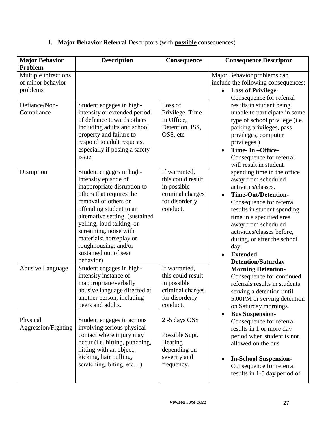| <b>Major Behavior</b><br>Problem                      | <b>Description</b>                                                                                                                                                                                                                                                                                                                               | Consequence                                                                                         | <b>Consequence Descriptor</b>                                                                                                                                                                                                                                                                                                              |
|-------------------------------------------------------|--------------------------------------------------------------------------------------------------------------------------------------------------------------------------------------------------------------------------------------------------------------------------------------------------------------------------------------------------|-----------------------------------------------------------------------------------------------------|--------------------------------------------------------------------------------------------------------------------------------------------------------------------------------------------------------------------------------------------------------------------------------------------------------------------------------------------|
| Multiple infractions<br>of minor behavior<br>problems |                                                                                                                                                                                                                                                                                                                                                  |                                                                                                     | Major Behavior problems can<br>include the following consequences:<br><b>Loss of Privilege-</b><br>Consequence for referral                                                                                                                                                                                                                |
| Defiance/Non-<br>Compliance                           | Student engages in high-<br>intensity or extended period<br>of defiance towards others<br>including adults and school<br>property and failure to<br>respond to adult requests,<br>especially if posing a safety<br>issue.                                                                                                                        | Loss of<br>Privilege, Time<br>In Office,<br>Detention, ISS,<br>OSS, etc                             | results in student being<br>unable to participate in some<br>type of school privilege (i.e.<br>parking privileges, pass<br>privileges, computer<br>privileges.)<br>Time- In -Office-<br>Consequence for referral<br>will result in student                                                                                                 |
| Disruption                                            | Student engages in high-<br>intensity episode of<br>inappropriate disruption to<br>others that requires the<br>removal of others or<br>offending student to an<br>alternative setting. (sustained<br>yelling, loud talking, or<br>screaming, noise with<br>materials; horseplay or<br>roughhousing; and/or<br>sustained out of seat<br>behavior) | If warranted,<br>this could result<br>in possible<br>criminal charges<br>for disorderly<br>conduct. | spending time in the office<br>away from scheduled<br>activities/classes.<br><b>Time-Out/Detention-</b><br>Consequence for referral<br>results in student spending<br>time in a specified area<br>away from scheduled<br>activities/classes before,<br>during, or after the school<br>day.<br><b>Extended</b><br><b>Detention/Saturday</b> |
| Abusive Language                                      | Student engages in high-<br>intensity instance of<br>inappropriate/verbally<br>abusive language directed at<br>another person, including<br>peers and adults.                                                                                                                                                                                    | If warranted,<br>this could result<br>in possible<br>criminal charges<br>for disorderly<br>conduct. | <b>Morning Detention-</b><br>Consequence for continued<br>referrals results in students<br>serving a detention until<br>5:00PM or serving detention<br>on Saturday mornings.                                                                                                                                                               |
| Physical<br>Aggression/Fighting                       | Student engages in actions<br>involving serious physical<br>contact where injury may<br>occur (i.e. hitting, punching,<br>hitting with an object,<br>kicking, hair pulling,<br>scratching, biting, etc)                                                                                                                                          | 2 -5 days OSS<br>Possible Supt.<br>Hearing<br>depending on<br>severity and<br>frequency.            | <b>Bus Suspension-</b><br>Consequence for referral<br>results in 1 or more day<br>period when student is not<br>allowed on the bus.<br><b>In-School Suspension-</b><br>Consequence for referral<br>results in 1-5 day period of                                                                                                            |

## **I. Major Behavior Referral** Descriptors (with **possible** consequences)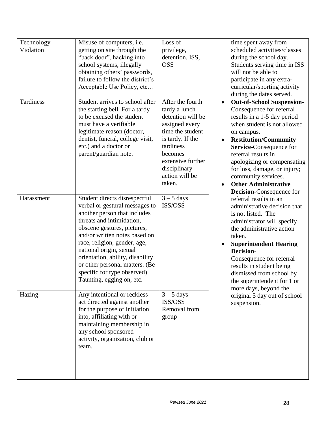| Technology<br>Violation | Misuse of computers, i.e.<br>getting on site through the<br>"back door", hacking into<br>school systems, illegally<br>obtaining others' passwords,<br>failure to follow the district's<br>Acceptable Use Policy, etc                                                                                                                                                                      | Loss of<br>privilege,<br>detention, ISS,<br><b>OSS</b>                                                                                                                                                    | time spent away from<br>scheduled activities/classes<br>during the school day.<br>Students serving time in ISS<br>will not be able to<br>participate in any extra-<br>curricular/sporting activity                                                                                                                                                                          |
|-------------------------|-------------------------------------------------------------------------------------------------------------------------------------------------------------------------------------------------------------------------------------------------------------------------------------------------------------------------------------------------------------------------------------------|-----------------------------------------------------------------------------------------------------------------------------------------------------------------------------------------------------------|-----------------------------------------------------------------------------------------------------------------------------------------------------------------------------------------------------------------------------------------------------------------------------------------------------------------------------------------------------------------------------|
| Tardiness               | Student arrives to school after<br>the starting bell. For a tardy<br>to be excused the student<br>must have a verifiable<br>legitimate reason (doctor,<br>dentist, funeral, college visit,<br>etc.) and a doctor or<br>parent/guardian note.                                                                                                                                              | After the fourth<br>tardy a lunch<br>detention will be<br>assigned every<br>time the student<br>is tardy. If the<br>tardiness<br>becomes<br>extensive further<br>disciplinary<br>action will be<br>taken. | during the dates served.<br><b>Out-of-School Suspension-</b><br>Consequence for referral<br>results in a 1-5 day period<br>when student is not allowed<br>on campus.<br><b>Restitution/Community</b><br>Service-Consequence for<br>referral results in<br>apologizing or compensating<br>for loss, damage, or injury;<br>community services.<br><b>Other Administrative</b> |
| Harassment              | Student directs disrespectful<br>verbal or gestural messages to<br>another person that includes<br>threats and intimidation,<br>obscene gestures, pictures,<br>and/or written notes based on<br>race, religion, gender, age,<br>national origin, sexual<br>orientation, ability, disability<br>or other personal matters. (Be<br>specific for type observed)<br>Taunting, egging on, etc. | $3 - 5$ days<br>ISS/OSS                                                                                                                                                                                   | Decision-Consequence for<br>referral results in an<br>administrative decision that<br>is not listed. The<br>administrator will specify<br>the administrative action<br>taken.<br><b>Superintendent Hearing</b><br>Decision-<br>Consequence for referral<br>results in student being<br>dismissed from school by<br>the superintendent for 1 or<br>more days, beyond the     |
| Hazing                  | Any intentional or reckless<br>act directed against another<br>for the purpose of initiation<br>into, affiliating with or<br>maintaining membership in<br>any school sponsored<br>activity, organization, club or<br>team.                                                                                                                                                                | $3 - 5$ days<br>ISS/OSS<br>Removal from<br>group                                                                                                                                                          | original 5 day out of school<br>suspension.                                                                                                                                                                                                                                                                                                                                 |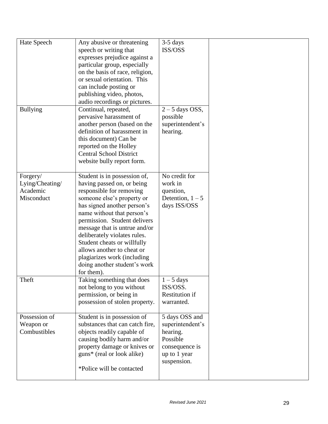| Hate Speech<br><b>Bullying</b>                        | Any abusive or threatening<br>speech or writing that<br>expresses prejudice against a<br>particular group, especially<br>on the basis of race, religion,<br>or sexual orientation. This<br>can include posting or<br>publishing video, photos,<br>audio recordings or pictures.<br>Continual, repeated,                                                                                                                      | $3-5$ days<br>ISS/OSS<br>$2 - 5$ days OSS,                                                                  |  |
|-------------------------------------------------------|------------------------------------------------------------------------------------------------------------------------------------------------------------------------------------------------------------------------------------------------------------------------------------------------------------------------------------------------------------------------------------------------------------------------------|-------------------------------------------------------------------------------------------------------------|--|
|                                                       | pervasive harassment of<br>another person (based on the<br>definition of harassment in<br>this document) Can be<br>reported on the Holley<br><b>Central School District</b><br>website bully report form.                                                                                                                                                                                                                    | possible<br>superintendent's<br>hearing.                                                                    |  |
| Forgery/<br>Lying/Cheating/<br>Academic<br>Misconduct | Student is in possession of,<br>having passed on, or being<br>responsible for removing<br>someone else's property or<br>has signed another person's<br>name without that person's<br>permission. Student delivers<br>message that is untrue and/or<br>deliberately violates rules.<br>Student cheats or willfully<br>allows another to cheat or<br>plagiarizes work (including<br>doing another student's work<br>for them). | No credit for<br>work in<br>question,<br>Detention, $1 - 5$<br>days ISS/OSS                                 |  |
| Theft                                                 | Taking something that does<br>not belong to you without<br>permission, or being in<br>possession of stolen property.                                                                                                                                                                                                                                                                                                         | $1 - 5$ days<br>ISS/OSS.<br><b>Restitution if</b><br>warranted.                                             |  |
| Possession of<br>Weapon or<br>Combustibles            | Student is in possession of<br>substances that can catch fire,<br>objects readily capable of<br>causing bodily harm and/or<br>property damage or knives or<br>guns <sup>*</sup> (real or look alike)<br>*Police will be contacted                                                                                                                                                                                            | 5 days OSS and<br>superintendent's<br>hearing.<br>Possible<br>consequence is<br>up to 1 year<br>suspension. |  |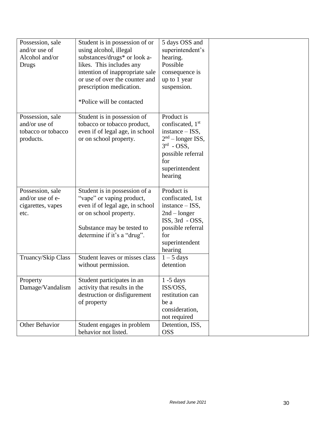| Possession, sale<br>and/or use of<br>Alcohol and/or<br>Drugs         | Student is in possession of or<br>using alcohol, illegal<br>substances/drugs* or look a-<br>likes. This includes any<br>intention of inappropriate sale<br>or use of over the counter and<br>prescription medication.<br>*Police will be contacted | 5 days OSS and<br>superintendent's<br>hearing.<br>Possible<br>consequence is<br>up to 1 year<br>suspension.                                                     |  |
|----------------------------------------------------------------------|----------------------------------------------------------------------------------------------------------------------------------------------------------------------------------------------------------------------------------------------------|-----------------------------------------------------------------------------------------------------------------------------------------------------------------|--|
| Possession, sale<br>and/or use of<br>tobacco or tobacco<br>products. | Student is in possession of<br>tobacco or tobacco product,<br>even if of legal age, in school<br>or on school property.                                                                                                                            | Product is<br>confiscated, 1 <sup>st</sup><br>$instance - ISS,$<br>$2nd$ – longer ISS,<br>$3rd$ - OSS,<br>possible referral<br>for<br>superintendent<br>hearing |  |
| Possession, sale<br>and/or use of e-<br>cigarettes, vapes<br>etc.    | Student is in possession of a<br>"vape" or vaping product,<br>even if of legal age, in school<br>or on school property.<br>Substance may be tested to<br>determine if it's a "drug".                                                               | Product is<br>confiscated, 1st<br>$instance - ISS,$<br>$2nd - longer$<br>ISS, 3rd - OSS,<br>possible referral<br>for<br>superintendent<br>hearing               |  |
| Truancy/Skip Class                                                   | Student leaves or misses class<br>without permission.                                                                                                                                                                                              | $1 - 5$ days<br>detention                                                                                                                                       |  |
| Property<br>Damage/Vandalism                                         | Student participates in an<br>activity that results in the<br>destruction or disfigurement<br>of property                                                                                                                                          | $1 - 5$ days<br>ISS/OSS,<br>restitution can<br>be a<br>consideration,<br>not required                                                                           |  |
| Other Behavior                                                       | Student engages in problem<br>behavior not listed.                                                                                                                                                                                                 | Detention, ISS,<br><b>OSS</b>                                                                                                                                   |  |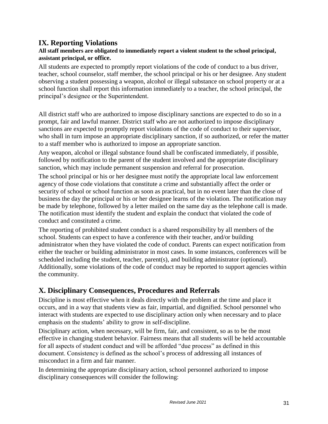#### **IX. Reporting Violations**

#### **All staff members are obligated to immediately report a violent student to the school principal, assistant principal, or office.**

All students are expected to promptly report violations of the code of conduct to a bus driver, teacher, school counselor, staff member, the school principal or his or her designee. Any student observing a student possessing a weapon, alcohol or illegal substance on school property or at a school function shall report this information immediately to a teacher, the school principal, the principal's designee or the Superintendent.

All district staff who are authorized to impose disciplinary sanctions are expected to do so in a prompt, fair and lawful manner. District staff who are not authorized to impose disciplinary sanctions are expected to promptly report violations of the code of conduct to their supervisor, who shall in turn impose an appropriate disciplinary sanction, if so authorized, or refer the matter to a staff member who is authorized to impose an appropriate sanction.

Any weapon, alcohol or illegal substance found shall be confiscated immediately, if possible, followed by notification to the parent of the student involved and the appropriate disciplinary sanction, which may include permanent suspension and referral for prosecution.

The school principal or his or her designee must notify the appropriate local law enforcement agency of those code violations that constitute a crime and substantially affect the order or security of school or school function as soon as practical, but in no event later than the close of business the day the principal or his or her designee learns of the violation. The notification may be made by telephone, followed by a letter mailed on the same day as the telephone call is made. The notification must identify the student and explain the conduct that violated the code of conduct and constituted a crime.

The reporting of prohibited student conduct is a shared responsibility by all members of the school. Students can expect to have a conference with their teacher, and/or building administrator when they have violated the code of conduct. Parents can expect notification from either the teacher or building administrator in most cases. In some instances, conferences will be scheduled including the student, teacher, parent(s), and building administrator (optional). Additionally, some violations of the code of conduct may be reported to support agencies within the community.

#### **X. Disciplinary Consequences, Procedures and Referrals**

Discipline is most effective when it deals directly with the problem at the time and place it occurs, and in a way that students view as fair, impartial, and dignified. School personnel who interact with students are expected to use disciplinary action only when necessary and to place emphasis on the students' ability to grow in self-discipline.

Disciplinary action, when necessary, will be firm, fair, and consistent, so as to be the most effective in changing student behavior. Fairness means that all students will be held accountable for all aspects of student conduct and will be afforded "due process" as defined in this document. Consistency is defined as the school's process of addressing all instances of misconduct in a firm and fair manner.

In determining the appropriate disciplinary action, school personnel authorized to impose disciplinary consequences will consider the following: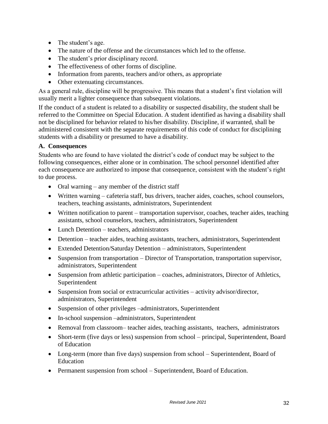- The student's age.
- The nature of the offense and the circumstances which led to the offense.
- The student's prior disciplinary record.
- The effectiveness of other forms of discipline.
- Information from parents, teachers and/or others, as appropriate
- Other extenuating circumstances.

As a general rule, discipline will be progressive. This means that a student's first violation will usually merit a lighter consequence than subsequent violations.

If the conduct of a student is related to a disability or suspected disability, the student shall be referred to the Committee on Special Education. A student identified as having a disability shall not be disciplined for behavior related to his/her disability. Discipline, if warranted, shall be administered consistent with the separate requirements of this code of conduct for disciplining students with a disability or presumed to have a disability.

#### **A. Consequences**

Students who are found to have violated the district's code of conduct may be subject to the following consequences, either alone or in combination. The school personnel identified after each consequence are authorized to impose that consequence, consistent with the student's right to due process.

- Oral warning  $-$  any member of the district staff
- Written warning cafeteria staff, bus drivers, teacher aides, coaches, school counselors, teachers, teaching assistants, administrators, Superintendent
- Written notification to parent transportation supervisor, coaches, teacher aides, teaching assistants, school counselors, teachers, administrators, Superintendent
- Lunch Detention teachers, administrators
- Detention teacher aides, teaching assistants, teachers, administrators, Superintendent
- Extended Detention/Saturday Detention administrators, Superintendent
- Suspension from transportation Director of Transportation, transportation supervisor, administrators, Superintendent
- Suspension from athletic participation coaches, administrators, Director of Athletics, Superintendent
- Suspension from social or extracurricular activities activity advisor/director, administrators, Superintendent
- Suspension of other privileges –administrators, Superintendent
- In-school suspension –administrators, Superintendent
- Removal from classroom– teacher aides, teaching assistants, teachers, administrators
- Short-term (five days or less) suspension from school principal, Superintendent, Board of Education
- Long-term (more than five days) suspension from school Superintendent, Board of Education
- Permanent suspension from school Superintendent, Board of Education.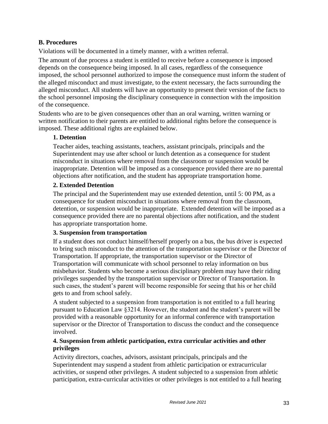#### **B. Procedures**

Violations will be documented in a timely manner, with a written referral.

The amount of due process a student is entitled to receive before a consequence is imposed depends on the consequence being imposed. In all cases, regardless of the consequence imposed, the school personnel authorized to impose the consequence must inform the student of the alleged misconduct and must investigate, to the extent necessary, the facts surrounding the alleged misconduct. All students will have an opportunity to present their version of the facts to the school personnel imposing the disciplinary consequence in connection with the imposition of the consequence.

Students who are to be given consequences other than an oral warning, written warning or written notification to their parents are entitled to additional rights before the consequence is imposed. These additional rights are explained below.

#### **1. Detention**

Teacher aides, teaching assistants, teachers, assistant principals, principals and the Superintendent may use after school or lunch detention as a consequence for student misconduct in situations where removal from the classroom or suspension would be inappropriate. Detention will be imposed as a consequence provided there are no parental objections after notification, and the student has appropriate transportation home.

#### **2. Extended Detention**

The principal and the Superintendent may use extended detention, until 5: 00 PM, as a consequence for student misconduct in situations where removal from the classroom, detention, or suspension would be inappropriate. Extended detention will be imposed as a consequence provided there are no parental objections after notification, and the student has appropriate transportation home.

#### **3. Suspension from transportation**

If a student does not conduct himself/herself properly on a bus, the bus driver is expected to bring such misconduct to the attention of the transportation supervisor or the Director of Transportation. If appropriate, the transportation supervisor or the Director of Transportation will communicate with school personnel to relay information on bus misbehavior. Students who become a serious disciplinary problem may have their riding privileges suspended by the transportation supervisor or Director of Transportation. In such cases, the student's parent will become responsible for seeing that his or her child gets to and from school safely.

A student subjected to a suspension from transportation is not entitled to a full hearing pursuant to Education Law §3214. However, the student and the student's parent will be provided with a reasonable opportunity for an informal conference with transportation supervisor or the Director of Transportation to discuss the conduct and the consequence involved.

#### **4. Suspension from athletic participation, extra curricular activities and other privileges**

Activity directors, coaches, advisors, assistant principals, principals and the Superintendent may suspend a student from athletic participation or extracurricular activities, or suspend other privileges. A student subjected to a suspension from athletic participation, extra-curricular activities or other privileges is not entitled to a full hearing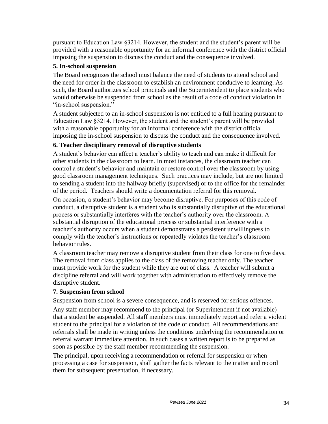pursuant to Education Law §3214. However, the student and the student's parent will be provided with a reasonable opportunity for an informal conference with the district official imposing the suspension to discuss the conduct and the consequence involved.

#### **5. In-school suspension**

The Board recognizes the school must balance the need of students to attend school and the need for order in the classroom to establish an environment conducive to learning. As such, the Board authorizes school principals and the Superintendent to place students who would otherwise be suspended from school as the result of a code of conduct violation in "in-school suspension."

A student subjected to an in-school suspension is not entitled to a full hearing pursuant to Education Law §3214. However, the student and the student's parent will be provided with a reasonable opportunity for an informal conference with the district official imposing the in-school suspension to discuss the conduct and the consequence involved.

#### **6. Teacher disciplinary removal of disruptive students**

A student's behavior can affect a teacher's ability to teach and can make it difficult for other students in the classroom to learn. In most instances, the classroom teacher can control a student's behavior and maintain or restore control over the classroom by using good classroom management techniques. Such practices may include, but are not limited to sending a student into the hallway briefly (supervised) or to the office for the remainder of the period. Teachers should write a documentation referral for this removal.

On occasion, a student's behavior may become disruptive. For purposes of this code of conduct, a disruptive student is a student who is substantially disruptive of the educational process or substantially interferes with the teacher's authority over the classroom. A substantial disruption of the educational process or substantial interference with a teacher's authority occurs when a student demonstrates a persistent unwillingness to comply with the teacher's instructions or repeatedly violates the teacher's classroom behavior rules.

A classroom teacher may remove a disruptive student from their class for one to five days. The removal from class applies to the class of the removing teacher only. The teacher must provide work for the student while they are out of class. A teacher will submit a discipline referral and will work together with administration to effectively remove the disruptive student.

#### **7. Suspension from school**

Suspension from school is a severe consequence, and is reserved for serious offences.

Any staff member may recommend to the principal (or Superintendent if not available) that a student be suspended. All staff members must immediately report and refer a violent student to the principal for a violation of the code of conduct. All recommendations and referrals shall be made in writing unless the conditions underlying the recommendation or referral warrant immediate attention. In such cases a written report is to be prepared as soon as possible by the staff member recommending the suspension.

The principal, upon receiving a recommendation or referral for suspension or when processing a case for suspension, shall gather the facts relevant to the matter and record them for subsequent presentation, if necessary.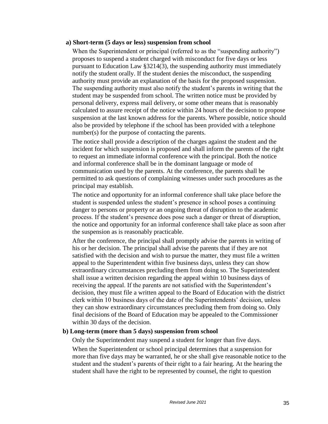#### **a) Short-term (5 days or less) suspension from school**

When the Superintendent or principal (referred to as the "suspending authority") proposes to suspend a student charged with misconduct for five days or less pursuant to Education Law §3214(3), the suspending authority must immediately notify the student orally. If the student denies the misconduct, the suspending authority must provide an explanation of the basis for the proposed suspension. The suspending authority must also notify the student's parents in writing that the student may be suspended from school. The written notice must be provided by personal delivery, express mail delivery, or some other means that is reasonably calculated to assure receipt of the notice within 24 hours of the decision to propose suspension at the last known address for the parents. Where possible, notice should also be provided by telephone if the school has been provided with a telephone number(s) for the purpose of contacting the parents.

The notice shall provide a description of the charges against the student and the incident for which suspension is proposed and shall inform the parents of the right to request an immediate informal conference with the principal. Both the notice and informal conference shall be in the dominant language or mode of communication used by the parents. At the conference, the parents shall be permitted to ask questions of complaining witnesses under such procedures as the principal may establish.

The notice and opportunity for an informal conference shall take place before the student is suspended unless the student's presence in school poses a continuing danger to persons or property or an ongoing threat of disruption to the academic process. If the student's presence does pose such a danger or threat of disruption, the notice and opportunity for an informal conference shall take place as soon after the suspension as is reasonably practicable.

After the conference, the principal shall promptly advise the parents in writing of his or her decision. The principal shall advise the parents that if they are not satisfied with the decision and wish to pursue the matter, they must file a written appeal to the Superintendent within five business days, unless they can show extraordinary circumstances precluding them from doing so. The Superintendent shall issue a written decision regarding the appeal within 10 business days of receiving the appeal. If the parents are not satisfied with the Superintendent's decision, they must file a written appeal to the Board of Education with the district clerk within 10 business days of the date of the Superintendents' decision, unless they can show extraordinary circumstances precluding them from doing so. Only final decisions of the Board of Education may be appealed to the Commissioner within 30 days of the decision.

#### **b) Long-term (more than 5 days) suspension from school**

Only the Superintendent may suspend a student for longer than five days.

When the Superintendent or school principal determines that a suspension for more than five days may be warranted, he or she shall give reasonable notice to the student and the student's parents of their right to a fair hearing. At the hearing the student shall have the right to be represented by counsel, the right to question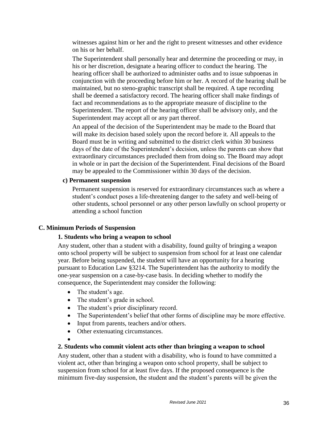witnesses against him or her and the right to present witnesses and other evidence on his or her behalf.

The Superintendent shall personally hear and determine the proceeding or may, in his or her discretion, designate a hearing officer to conduct the hearing. The hearing officer shall be authorized to administer oaths and to issue subpoenas in conjunction with the proceeding before him or her. A record of the hearing shall be maintained, but no steno-graphic transcript shall be required. A tape recording shall be deemed a satisfactory record. The hearing officer shall make findings of fact and recommendations as to the appropriate measure of discipline to the Superintendent. The report of the hearing officer shall be advisory only, and the Superintendent may accept all or any part thereof.

An appeal of the decision of the Superintendent may be made to the Board that will make its decision based solely upon the record before it. All appeals to the Board must be in writing and submitted to the district clerk within 30 business days of the date of the Superintendent's decision, unless the parents can show that extraordinary circumstances precluded them from doing so. The Board may adopt in whole or in part the decision of the Superintendent. Final decisions of the Board may be appealed to the Commissioner within 30 days of the decision.

#### **c) Permanent suspension**

Permanent suspension is reserved for extraordinary circumstances such as where a student's conduct poses a life-threatening danger to the safety and well-being of other students, school personnel or any other person lawfully on school property or attending a school function

#### **C. Minimum Periods of Suspension**

#### **1. Students who bring a weapon to school**

Any student, other than a student with a disability, found guilty of bringing a weapon onto school property will be subject to suspension from school for at least one calendar year. Before being suspended, the student will have an opportunity for a hearing pursuant to Education Law §3214. The Superintendent has the authority to modify the one-year suspension on a case-by-case basis. In deciding whether to modify the consequence, the Superintendent may consider the following:

- The student's age.
- The student's grade in school.
- The student's prior disciplinary record.
- The Superintendent's belief that other forms of discipline may be more effective.
- Input from parents, teachers and/or others.
- Other extenuating circumstances.
- $\bullet$

#### **2. Students who commit violent acts other than bringing a weapon to school**

Any student, other than a student with a disability, who is found to have committed a violent act, other than bringing a weapon onto school property, shall be subject to suspension from school for at least five days. If the proposed consequence is the minimum five-day suspension, the student and the student's parents will be given the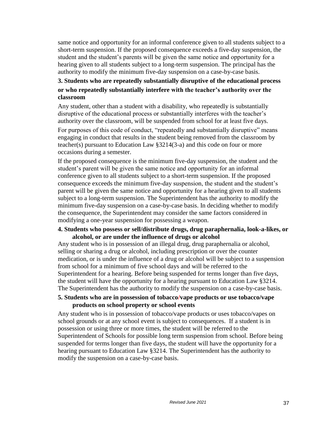same notice and opportunity for an informal conference given to all students subject to a short-term suspension. If the proposed consequence exceeds a five-day suspension, the student and the student's parents will be given the same notice and opportunity for a hearing given to all students subject to a long-term suspension. The principal has the authority to modify the minimum five-day suspension on a case-by-case basis.

#### **3. Students who are repeatedly substantially disruptive of the educational process or who repeatedly substantially interfere with the teacher's authority over the classroom**

Any student, other than a student with a disability, who repeatedly is substantially disruptive of the educational process or substantially interferes with the teacher's authority over the classroom, will be suspended from school for at least five days.

For purposes of this code of conduct, "repeatedly and substantially disruptive" means engaging in conduct that results in the student being removed from the classroom by teacher(s) pursuant to Education Law §3214(3-a) and this code on four or more occasions during a semester.

If the proposed consequence is the minimum five-day suspension, the student and the student's parent will be given the same notice and opportunity for an informal conference given to all students subject to a short-term suspension. If the proposed consequence exceeds the minimum five-day suspension, the student and the student's parent will be given the same notice and opportunity for a hearing given to all students subject to a long-term suspension. The Superintendent has the authority to modify the minimum five-day suspension on a case-by-case basis. In deciding whether to modify the consequence, the Superintendent may consider the same factors considered in modifying a one-year suspension for possessing a weapon.

#### **4. Students who possess or sell/distribute drugs, drug paraphernalia, look-a-likes, or alcohol, or are under the influence of drugs or alcohol**

Any student who is in possession of an illegal drug, drug paraphernalia or alcohol, selling or sharing a drug or alcohol, including prescription or over the counter medication, or is under the influence of a drug or alcohol will be subject to a suspension from school for a minimum of five school days and will be referred to the Superintendent for a hearing. Before being suspended for terms longer than five days, the student will have the opportunity for a hearing pursuant to Education Law §3214. The Superintendent has the authority to modify the suspension on a case-by-case basis.

#### **5. Students who are in possession of tobacco/vape products or use tobacco/vape products on school property or school events**

Any student who is in possession of tobacco/vape products or uses tobacco/vapes on school grounds or at any school event is subject to consequences. If a student is in possession or using three or more times, the student will be referred to the Superintendent of Schools for possible long term suspension from school. Before being suspended for terms longer than five days, the student will have the opportunity for a hearing pursuant to Education Law §3214. The Superintendent has the authority to modify the suspension on a case-by-case basis.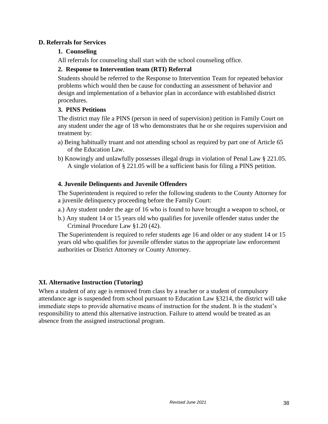#### **D. Referrals for Services**

#### **1. Counseling**

All referrals for counseling shall start with the school counseling office.

#### **2. Response to Intervention team (RTI) Referral**

Students should be referred to the Response to Intervention Team for repeated behavior problems which would then be cause for conducting an assessment of behavior and design and implementation of a behavior plan in accordance with established district procedures.

#### **3. PINS Petitions**

The district may file a PINS (person in need of supervision) petition in Family Court on any student under the age of 18 who demonstrates that he or she requires supervision and treatment by:

- a) Being habitually truant and not attending school as required by part one of Article 65 of the Education Law.
- b) Knowingly and unlawfully possesses illegal drugs in violation of Penal Law § 221.05. A single violation of § 221.05 will be a sufficient basis for filing a PINS petition.

#### **4. Juvenile Delinquents and Juvenile Offenders**

The Superintendent is required to refer the following students to the County Attorney for a juvenile delinquency proceeding before the Family Court:

- a.) Any student under the age of 16 who is found to have brought a weapon to school, or
- b.) Any student 14 or 15 years old who qualifies for juvenile offender status under the Criminal Procedure Law §1.20 (42).

The Superintendent is required to refer students age 16 and older or any student 14 or 15 years old who qualifies for juvenile offender status to the appropriate law enforcement authorities or District Attorney or County Attorney.

#### **XI. Alternative Instruction (Tutoring)**

When a student of any age is removed from class by a teacher or a student of compulsory attendance age is suspended from school pursuant to Education Law §3214, the district will take immediate steps to provide alternative means of instruction for the student. It is the student's responsibility to attend this alternative instruction. Failure to attend would be treated as an absence from the assigned instructional program.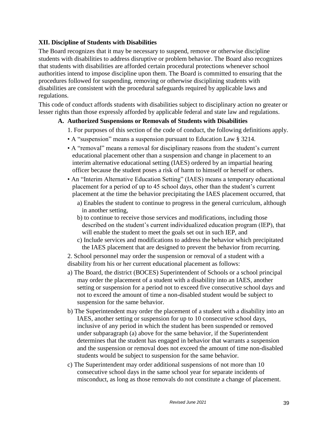#### **XII. Discipline of Students with Disabilities**

The Board recognizes that it may be necessary to suspend, remove or otherwise discipline students with disabilities to address disruptive or problem behavior. The Board also recognizes that students with disabilities are afforded certain procedural protections whenever school authorities intend to impose discipline upon them. The Board is committed to ensuring that the procedures followed for suspending, removing or otherwise disciplining students with disabilities are consistent with the procedural safeguards required by applicable laws and regulations.

This code of conduct affords students with disabilities subject to disciplinary action no greater or lesser rights than those expressly afforded by applicable federal and state law and regulations.

#### **A. Authorized Suspensions or Removals of Students with Disabilities**

- 1. For purposes of this section of the code of conduct, the following definitions apply.
- A "suspension" means a suspension pursuant to Education Law § 3214.
- A "removal" means a removal for disciplinary reasons from the student's current educational placement other than a suspension and change in placement to an interim alternative educational setting (IAES) ordered by an impartial hearing officer because the student poses a risk of harm to himself or herself or others.
- An "Interim Alternative Education Setting" (IAES) means a temporary educational placement for a period of up to 45 school days, other than the student's current placement at the time the behavior precipitating the IAES placement occurred, that
	- a) Enables the student to continue to progress in the general curriculum, although in another setting,
	- b) to continue to receive those services and modifications, including those described on the student's current individualized education program (IEP), that will enable the student to meet the goals set out in such IEP, and
	- c) Include services and modifications to address the behavior which precipitated the IAES placement that are designed to prevent the behavior from recurring.

2. School personnel may order the suspension or removal of a student with a disability from his or her current educational placement as follows:

- a) The Board, the district (BOCES) Superintendent of Schools or a school principal may order the placement of a student with a disability into an IAES, another setting or suspension for a period not to exceed five consecutive school days and not to exceed the amount of time a non-disabled student would be subject to suspension for the same behavior.
- b) The Superintendent may order the placement of a student with a disability into an IAES, another setting or suspension for up to 10 consecutive school days, inclusive of any period in which the student has been suspended or removed under subparagraph (a) above for the same behavior, if the Superintendent determines that the student has engaged in behavior that warrants a suspension and the suspension or removal does not exceed the amount of time non-disabled students would be subject to suspension for the same behavior.
- c) The Superintendent may order additional suspensions of not more than 10 consecutive school days in the same school year for separate incidents of misconduct, as long as those removals do not constitute a change of placement.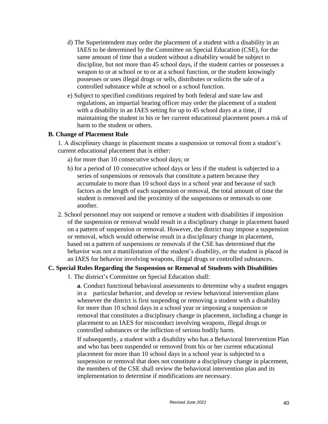- d) The Superintendent may order the placement of a student with a disability in an IAES to be determined by the Committee on Special Education (CSE), for the same amount of time that a student without a disability would be subject to discipline, but not more than 45 school days, if the student carries or possesses a weapon to or at school or to or at a school function, or the student knowingly possesses or uses illegal drugs or sells, distributes or solicits the sale of a controlled substance while at school or a school function.
- e) Subject to specified conditions required by both federal and state law and regulations, an impartial hearing officer may order the placement of a student with a disability in an IAES setting for up to 45 school days at a time, if maintaining the student in his or her current educational placement poses a risk of harm to the student or others.

#### **B. Change of Placement Rule**

1. A disciplinary change in placement means a suspension or removal from a student's current educational placement that is either:

- a) for more than 10 consecutive school days; or
- b) for a period of 10 consecutive school days or less if the student is subjected to a series of suspensions or removals that constitute a pattern because they accumulate to more than 10 school days in a school year and because of such factors as the length of each suspension or removal, the total amount of time the student is removed and the proximity of the suspensions or removals to one another.
- 2. School personnel may not suspend or remove a student with disabilities if imposition of the suspension or removal would result in a disciplinary change in placement based on a pattern of suspension or removal. However, the district may impose a suspension or removal, which would otherwise result in a disciplinary change in placement, based on a pattern of suspensions or removals if the CSE has determined that the behavior was not a manifestation of the student's disability, or the student is placed in an IAES for behavior involving weapons, illegal drugs or controlled substances.

#### **C. Special Rules Regarding the Suspension or Removal of Students with Disabilities**

1. The district's Committee on Special Education shall:

**a**. Conduct functional behavioral assessments to determine why a student engages in a particular behavior, and develop or review behavioral intervention plans whenever the district is first suspending or removing a student with a disability for more than 10 school days in a school year or imposing a suspension or removal that constitutes a disciplinary change in placement, including a change in placement to an IAES for misconduct involving weapons, illegal drugs or controlled substances or the infliction of serious bodily harm.

If subsequently, a student with a disability who has a Behavioral Intervention Plan and who has been suspended or removed from his or her current educational placement for more than 10 school days in a school year is subjected to a suspension or removal that does not constitute a disciplinary change in placement, the members of the CSE shall review the behavioral intervention plan and its implementation to determine if modifications are necessary.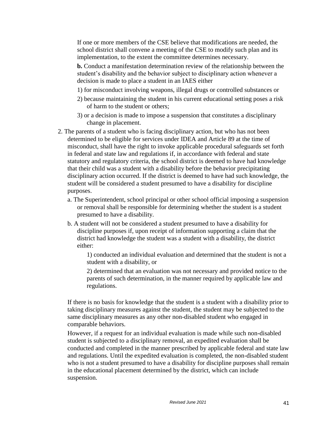If one or more members of the CSE believe that modifications are needed, the school district shall convene a meeting of the CSE to modify such plan and its implementation, to the extent the committee determines necessary.

**b.** Conduct a manifestation determination review of the relationship between the student's disability and the behavior subject to disciplinary action whenever a decision is made to place a student in an IAES either

- 1) for misconduct involving weapons, illegal drugs or controlled substances or
- 2) because maintaining the student in his current educational setting poses a risk of harm to the student or others;
- 3) or a decision is made to impose a suspension that constitutes a disciplinary change in placement.
- 2. The parents of a student who is facing disciplinary action, but who has not been determined to be eligible for services under IDEA and Article 89 at the time of misconduct, shall have the right to invoke applicable procedural safeguards set forth in federal and state law and regulations if, in accordance with federal and state statutory and regulatory criteria, the school district is deemed to have had knowledge that their child was a student with a disability before the behavior precipitating disciplinary action occurred. If the district is deemed to have had such knowledge, the student will be considered a student presumed to have a disability for discipline purposes.
	- a. The Superintendent, school principal or other school official imposing a suspension or removal shall be responsible for determining whether the student is a student presumed to have a disability.
	- b. A student will not be considered a student presumed to have a disability for discipline purposes if, upon receipt of information supporting a claim that the district had knowledge the student was a student with a disability, the district either:

1) conducted an individual evaluation and determined that the student is not a student with a disability, or

2) determined that an evaluation was not necessary and provided notice to the parents of such determination, in the manner required by applicable law and regulations.

If there is no basis for knowledge that the student is a student with a disability prior to taking disciplinary measures against the student, the student may be subjected to the same disciplinary measures as any other non-disabled student who engaged in comparable behaviors.

However, if a request for an individual evaluation is made while such non-disabled student is subjected to a disciplinary removal, an expedited evaluation shall be conducted and completed in the manner prescribed by applicable federal and state law and regulations. Until the expedited evaluation is completed, the non-disabled student who is not a student presumed to have a disability for discipline purposes shall remain in the educational placement determined by the district, which can include suspension.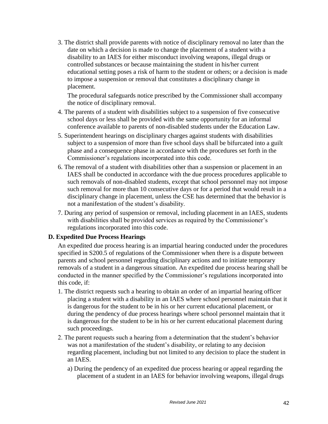3. The district shall provide parents with notice of disciplinary removal no later than the date on which a decision is made to change the placement of a student with a disability to an IAES for either misconduct involving weapons, illegal drugs or controlled substances or because maintaining the student in his/her current educational setting poses a risk of harm to the student or others; or a decision is made to impose a suspension or removal that constitutes a disciplinary change in placement.

The procedural safeguards notice prescribed by the Commissioner shall accompany the notice of disciplinary removal.

- 4. The parents of a student with disabilities subject to a suspension of five consecutive school days or less shall be provided with the same opportunity for an informal conference available to parents of non-disabled students under the Education Law.
- 5. Superintendent hearings on disciplinary charges against students with disabilities subject to a suspension of more than five school days shall be bifurcated into a guilt phase and a consequence phase in accordance with the procedures set forth in the Commissioner's regulations incorporated into this code.
- 6. The removal of a student with disabilities other than a suspension or placement in an IAES shall be conducted in accordance with the due process procedures applicable to such removals of non-disabled students, except that school personnel may not impose such removal for more than 10 consecutive days or for a period that would result in a disciplinary change in placement, unless the CSE has determined that the behavior is not a manifestation of the student's disability.
- 7. During any period of suspension or removal, including placement in an IAES, students with disabilities shall be provided services as required by the Commissioner's regulations incorporated into this code.

#### **D. Expedited Due Process Hearings**

An expedited due process hearing is an impartial hearing conducted under the procedures specified in S200.5 of regulations of the Commissioner when there is a dispute between parents and school personnel regarding disciplinary actions and to initiate temporary removals of a student in a dangerous situation. An expedited due process hearing shall be conducted in the manner specified by the Commissioner's regulations incorporated into this code, if:

- 1. The district requests such a hearing to obtain an order of an impartial hearing officer placing a student with a disability in an IAES where school personnel maintain that it is dangerous for the student to be in his or her current educational placement, or during the pendency of due process hearings where school personnel maintain that it is dangerous for the student to be in his or her current educational placement during such proceedings.
- 2. The parent requests such a hearing from a determination that the student's behavior was not a manifestation of the student's disability, or relating to any decision regarding placement, including but not limited to any decision to place the student in an IAES.
	- a) During the pendency of an expedited due process hearing or appeal regarding the placement of a student in an IAES for behavior involving weapons, illegal drugs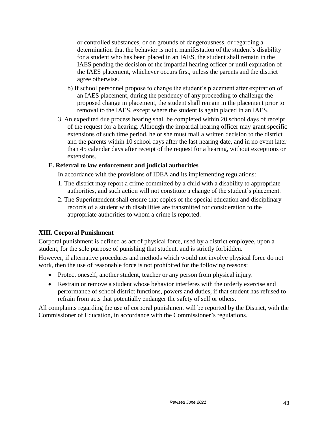or controlled substances, or on grounds of dangerousness, or regarding a determination that the behavior is not a manifestation of the student's disability for a student who has been placed in an IAES, the student shall remain in the IAES pending the decision of the impartial hearing officer or until expiration of the IAES placement, whichever occurs first, unless the parents and the district agree otherwise.

- b) If school personnel propose to change the student's placement after expiration of an IAES placement, during the pendency of any proceeding to challenge the proposed change in placement, the student shall remain in the placement prior to removal to the IAES, except where the student is again placed in an IAES.
- 3. An expedited due process hearing shall be completed within 20 school days of receipt of the request for a hearing. Although the impartial hearing officer may grant specific extensions of such time period, he or she must mail a written decision to the district and the parents within 10 school days after the last hearing date, and in no event later than 45 calendar days after receipt of the request for a hearing, without exceptions or extensions.

#### **E. Referral to law enforcement and judicial authorities**

In accordance with the provisions of IDEA and its implementing regulations:

- 1. The district may report a crime committed by a child with a disability to appropriate authorities, and such action will not constitute a change of the student's placement.
- 2. The Superintendent shall ensure that copies of the special education and disciplinary records of a student with disabilities are transmitted for consideration to the appropriate authorities to whom a crime is reported.

#### **XIII. Corporal Punishment**

Corporal punishment is defined as act of physical force, used by a district employee, upon a student, for the sole purpose of punishing that student, and is strictly forbidden.

However, if alternative procedures and methods which would not involve physical force do not work, then the use of reasonable force is not prohibited for the following reasons:

- Protect oneself, another student, teacher or any person from physical injury.
- Restrain or remove a student whose behavior interferes with the orderly exercise and performance of school district functions, powers and duties, if that student has refused to refrain from acts that potentially endanger the safety of self or others.

All complaints regarding the use of corporal punishment will be reported by the District, with the Commissioner of Education, in accordance with the Commissioner's regulations.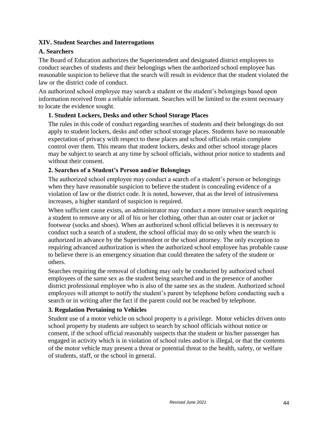#### **XIV. Student Searches and Interrogations**

#### **A. Searchers**

The Board of Education authorizes the Superintendent and designated district employees to conduct searches of students and their belongings when the authorized school employee has reasonable suspicion to believe that the search will result in evidence that the student violated the law or the district code of conduct.

An authorized school employee may search a student or the student's belongings based upon information received from a reliable informant. Searches will be limited to the extent necessary to locate the evidence sought.

#### **1. Student Lockers, Desks and other School Storage Places**

The rules in this code of conduct regarding searches of students and their belongings do not apply to student lockers, desks and other school storage places. Students have no reasonable expectation of privacy with respect to these places and school officials retain complete control over them. This means that student lockers, desks and other school storage places may be subject to search at any time by school officials, without prior notice to students and without their consent.

#### **2. Searches of a Student's Person and/or Belongings**

The authorized school employee may conduct a search of a student's person or belongings when they have reasonable suspicion to believe the student is concealing evidence of a violation of law or the district code. It is noted, however, that as the level of intrusiveness increases, a higher standard of suspicion is required.

When sufficient cause exists, an administrator may conduct a more intrusive search requiring a student to remove any or all of his or her clothing, other than an outer coat or jacket or footwear (socks and shoes). When an authorized school official believes it is necessary to conduct such a search of a student, the school official may do so only when the search is authorized in advance by the Superintendent or the school attorney. The only exception to requiring advanced authorization is when the authorized school employee has probable cause to believe there is an emergency situation that could threaten the safety of the student or others.

Searches requiring the removal of clothing may only be conducted by authorized school employees of the same sex as the student being searched and in the presence of another district professional employee who is also of the same sex as the student. Authorized school employees will attempt to notify the student's parent by telephone before conducting such a search or in writing after the fact if the parent could not be reached by telephone.

#### **3. Regulation Pertaining to Vehicles**

Student use of a motor vehicle on school property is a privilege. Motor vehicles driven onto school property by students are subject to search by school officials without notice or consent, if the school official reasonably suspects that the student or his/her passenger has engaged in activity which is in violation of school rules and/or is illegal, or that the contents of the motor vehicle may present a threat or potential threat to the health, safety, or welfare of students, staff, or the school in general.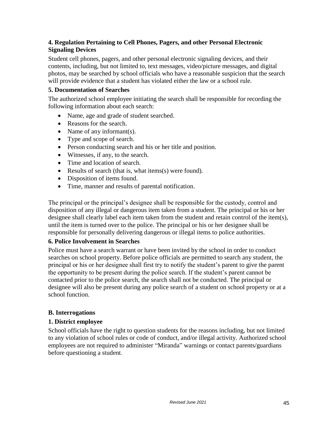#### **4. Regulation Pertaining to Cell Phones, Pagers, and other Personal Electronic Signaling Devices**

Student cell phones, pagers, and other personal electronic signaling devices, and their contents, including, but not limited to, text messages, video/picture messages, and digital photos, may be searched by school officials who have a reasonable suspicion that the search will provide evidence that a student has violated either the law or a school rule.

#### **5. Documentation of Searches**

The authorized school employee initiating the search shall be responsible for recording the following information about each search:

- Name, age and grade of student searched.
- Reasons for the search.
- Name of any informant(s).
- Type and scope of search.
- Person conducting search and his or her title and position.
- Witnesses, if any, to the search.
- Time and location of search.
- Results of search (that is, what items(s) were found).
- Disposition of items found.
- Time, manner and results of parental notification.

The principal or the principal's designee shall be responsible for the custody, control and disposition of any illegal or dangerous item taken from a student. The principal or his or her designee shall clearly label each item taken from the student and retain control of the item(s), until the item is turned over to the police. The principal or his or her designee shall be responsible for personally delivering dangerous or illegal items to police authorities.

#### **6. Police Involvement in Searches**

Police must have a search warrant or have been invited by the school in order to conduct searches on school property. Before police officials are permitted to search any student, the principal or his or her designee shall first try to notify the student's parent to give the parent the opportunity to be present during the police search. If the student's parent cannot be contacted prior to the police search, the search shall not be conducted. The principal or designee will also be present during any police search of a student on school property or at a school function.

#### **B. Interrogations**

#### **1. District employee**

School officials have the right to question students for the reasons including, but not limited to any violation of school rules or code of conduct, and/or illegal activity. Authorized school employees are not required to administer "Miranda" warnings or contact parents/guardians before questioning a student.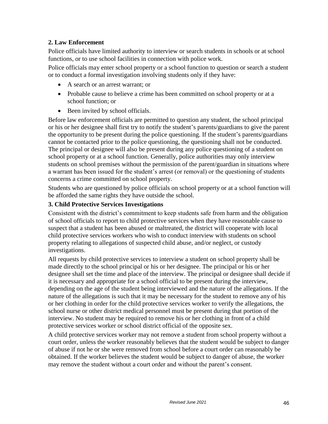#### **2. Law Enforcement**

Police officials have limited authority to interview or search students in schools or at school functions, or to use school facilities in connection with police work.

Police officials may enter school property or a school function to question or search a student or to conduct a formal investigation involving students only if they have:

- A search or an arrest warrant; or
- Probable cause to believe a crime has been committed on school property or at a school function; or
- Been invited by school officials.

Before law enforcement officials are permitted to question any student, the school principal or his or her designee shall first try to notify the student's parents/guardians to give the parent the opportunity to be present during the police questioning. If the student's parents/guardians cannot be contacted prior to the police questioning, the questioning shall not be conducted. The principal or designee will also be present during any police questioning of a student on school property or at a school function. Generally, police authorities may only interview students on school premises without the permission of the parent/guardian in situations where a warrant has been issued for the student's arrest (or removal) or the questioning of students concerns a crime committed on school property.

Students who are questioned by police officials on school property or at a school function will be afforded the same rights they have outside the school.

#### **3. Child Protective Services Investigations**

Consistent with the district's commitment to keep students safe from harm and the obligation of school officials to report to child protective services when they have reasonable cause to suspect that a student has been abused or maltreated, the district will cooperate with local child protective services workers who wish to conduct interview with students on school property relating to allegations of suspected child abuse, and/or neglect, or custody investigations.

All requests by child protective services to interview a student on school property shall be made directly to the school principal or his or her designee. The principal or his or her designee shall set the time and place of the interview. The principal or designee shall decide if it is necessary and appropriate for a school official to be present during the interview, depending on the age of the student being interviewed and the nature of the allegations. If the nature of the allegations is such that it may be necessary for the student to remove any of his or her clothing in order for the child protective services worker to verify the allegations, the school nurse or other district medical personnel must be present during that portion of the interview. No student may be required to remove his or her clothing in front of a child protective services worker or school district official of the opposite sex.

A child protective services worker may not remove a student from school property without a court order, unless the worker reasonably believes that the student would be subject to danger of abuse if not he or she were removed from school before a court order can reasonably be obtained. If the worker believes the student would be subject to danger of abuse, the worker may remove the student without a court order and without the parent's consent.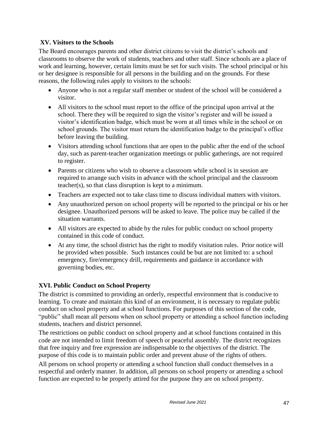#### **XV. Visitors to the Schools**

The Board encourages parents and other district citizens to visit the district's schools and classrooms to observe the work of students, teachers and other staff. Since schools are a place of work and learning, however, certain limits must be set for such visits. The school principal or his or her designee is responsible for all persons in the building and on the grounds. For these reasons, the following rules apply to visitors to the schools:

- Anyone who is not a regular staff member or student of the school will be considered a visitor.
- All visitors to the school must report to the office of the principal upon arrival at the school. There they will be required to sign the visitor's register and will be issued a visitor's identification badge, which must be worn at all times while in the school or on school grounds. The visitor must return the identification badge to the principal's office before leaving the building.
- Visitors attending school functions that are open to the public after the end of the school day, such as parent-teacher organization meetings or public gatherings, are not required to register.
- Parents or citizens who wish to observe a classroom while school is in session are required to arrange such visits in advance with the school principal and the classroom teacher(s), so that class disruption is kept to a minimum.
- Teachers are expected not to take class time to discuss individual matters with visitors.
- Any unauthorized person on school property will be reported to the principal or his or her designee. Unauthorized persons will be asked to leave. The police may be called if the situation warrants.
- All visitors are expected to abide by the rules for public conduct on school property contained in this code of conduct.
- At any time, the school district has the right to modify visitation rules. Prior notice will be provided when possible. Such instances could be but are not limited to: a school emergency, fire/emergency drill, requirements and guidance in accordance with governing bodies, etc.

#### **XVI. Public Conduct on School Property**

The district is committed to providing an orderly, respectful environment that is conducive to learning. To create and maintain this kind of an environment, it is necessary to regulate public conduct on school property and at school functions. For purposes of this section of the code, "public" shall mean all persons when on school property or attending a school function including students, teachers and district personnel.

The restrictions on public conduct on school property and at school functions contained in this code are not intended to limit freedom of speech or peaceful assembly. The district recognizes that free inquiry and free expression are indispensable to the objectives of the district. The purpose of this code is to maintain public order and prevent abuse of the rights of others.

All persons on school property or attending a school function shall conduct themselves in a respectful and orderly manner. In addition, all persons on school property or attending a school function are expected to be properly attired for the purpose they are on school property.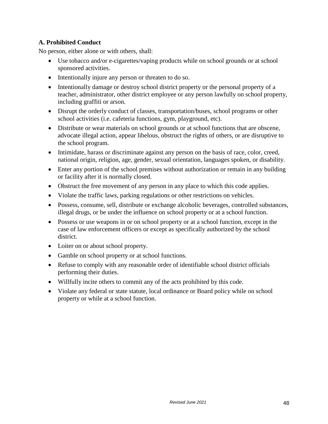#### **A. Prohibited Conduct**

No person, either alone or with others, shall:

- Use tobacco and/or e-cigarettes/vaping products while on school grounds or at school sponsored activities.
- Intentionally injure any person or threaten to do so.
- Intentionally damage or destroy school district property or the personal property of a teacher, administrator, other district employee or any person lawfully on school property, including graffiti or arson.
- Disrupt the orderly conduct of classes, transportation/buses, school programs or other school activities (i.e. cafeteria functions, gym, playground, etc).
- Distribute or wear materials on school grounds or at school functions that are obscene, advocate illegal action, appear libelous, obstruct the rights of others, or are disruptive to the school program.
- Intimidate, harass or discriminate against any person on the basis of race, color, creed, national origin, religion, age, gender, sexual orientation, languages spoken, or disability.
- Enter any portion of the school premises without authorization or remain in any building or facility after it is normally closed.
- Obstruct the free movement of any person in any place to which this code applies.
- Violate the traffic laws, parking regulations or other restrictions on vehicles.
- Possess, consume, sell, distribute or exchange alcoholic beverages, controlled substances, illegal drugs, or be under the influence on school property or at a school function.
- Possess or use weapons in or on school property or at a school function, except in the case of law enforcement officers or except as specifically authorized by the school district.
- Loiter on or about school property.
- Gamble on school property or at school functions.
- Refuse to comply with any reasonable order of identifiable school district officials performing their duties.
- Willfully incite others to commit any of the acts prohibited by this code.
- Violate any federal or state statute, local ordinance or Board policy while on school property or while at a school function.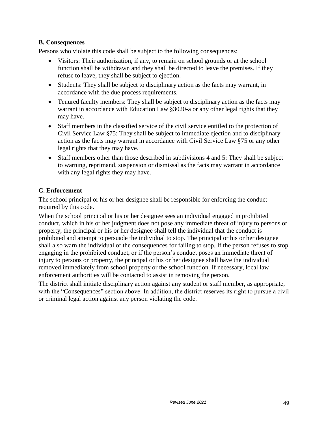#### **B. Consequences**

Persons who violate this code shall be subject to the following consequences:

- Visitors: Their authorization, if any, to remain on school grounds or at the school function shall be withdrawn and they shall be directed to leave the premises. If they refuse to leave, they shall be subject to ejection.
- Students: They shall be subject to disciplinary action as the facts may warrant, in accordance with the due process requirements.
- Tenured faculty members: They shall be subject to disciplinary action as the facts may warrant in accordance with Education Law §3020-a or any other legal rights that they may have.
- Staff members in the classified service of the civil service entitled to the protection of Civil Service Law §75: They shall be subject to immediate ejection and to disciplinary action as the facts may warrant in accordance with Civil Service Law §75 or any other legal rights that they may have.
- Staff members other than those described in subdivisions 4 and 5: They shall be subject to warning, reprimand, suspension or dismissal as the facts may warrant in accordance with any legal rights they may have.

#### **C. Enforcement**

The school principal or his or her designee shall be responsible for enforcing the conduct required by this code.

When the school principal or his or her designee sees an individual engaged in prohibited conduct, which in his or her judgment does not pose any immediate threat of injury to persons or property, the principal or his or her designee shall tell the individual that the conduct is prohibited and attempt to persuade the individual to stop. The principal or his or her designee shall also warn the individual of the consequences for failing to stop. If the person refuses to stop engaging in the prohibited conduct, or if the person's conduct poses an immediate threat of injury to persons or property, the principal or his or her designee shall have the individual removed immediately from school property or the school function. If necessary, local law enforcement authorities will be contacted to assist in removing the person.

The district shall initiate disciplinary action against any student or staff member, as appropriate, with the "Consequences" section above. In addition, the district reserves its right to pursue a civil or criminal legal action against any person violating the code.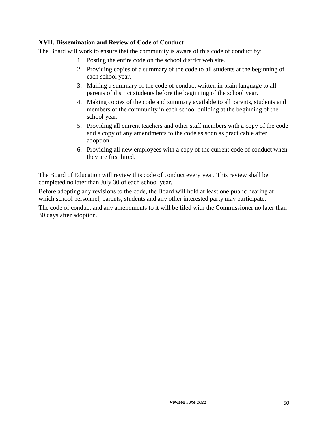#### **XVII. Dissemination and Review of Code of Conduct**

The Board will work to ensure that the community is aware of this code of conduct by:

- 1. Posting the entire code on the school district web site.
- 2. Providing copies of a summary of the code to all students at the beginning of each school year.
- 3. Mailing a summary of the code of conduct written in plain language to all parents of district students before the beginning of the school year.
- 4. Making copies of the code and summary available to all parents, students and members of the community in each school building at the beginning of the school year.
- 5. Providing all current teachers and other staff members with a copy of the code and a copy of any amendments to the code as soon as practicable after adoption.
- 6. Providing all new employees with a copy of the current code of conduct when they are first hired.

The Board of Education will review this code of conduct every year. This review shall be completed no later than July 30 of each school year.

Before adopting any revisions to the code, the Board will hold at least one public hearing at which school personnel, parents, students and any other interested party may participate.

The code of conduct and any amendments to it will be filed with the Commissioner no later than 30 days after adoption.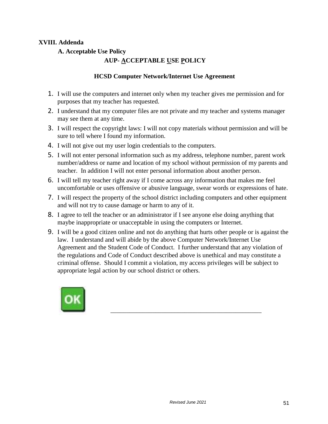#### **XVIII. Addenda**

**A. Acceptable Use Policy**

#### **AUP- ACCEPTABLE USE POLICY**

#### **HCSD Computer Network/Internet Use Agreement**

- 1. I will use the computers and internet only when my teacher gives me permission and for purposes that my teacher has requested.
- 2. I understand that my computer files are not private and my teacher and systems manager may see them at any time.
- 3. I will respect the copyright laws: I will not copy materials without permission and will be sure to tell where I found my information.
- 4. I will not give out my user login credentials to the computers.
- 5. I will not enter personal information such as my address, telephone number, parent work number/address or name and location of my school without permission of my parents and teacher. In addition I will not enter personal information about another person.
- 6. I will tell my teacher right away if I come across any information that makes me feel uncomfortable or uses offensive or abusive language, swear words or expressions of hate.
- 7. I will respect the property of the school district including computers and other equipment and will not try to cause damage or harm to any of it.
- 8. I agree to tell the teacher or an administrator if I see anyone else doing anything that maybe inappropriate or unacceptable in using the computers or Internet.
- 9. I will be a good citizen online and not do anything that hurts other people or is against the law. I understand and will abide by the above Computer Network/Internet Use Agreement and the Student Code of Conduct. I further understand that any violation of the regulations and Code of Conduct described above is unethical and may constitute a criminal offense. Should I commit a violation, my access privileges will be subject to appropriate legal action by our school district or others.



\_\_\_\_\_\_\_\_\_\_\_\_\_\_\_\_\_\_\_\_\_\_\_\_\_\_\_\_\_\_\_\_\_\_\_\_\_\_\_\_\_\_\_\_\_\_\_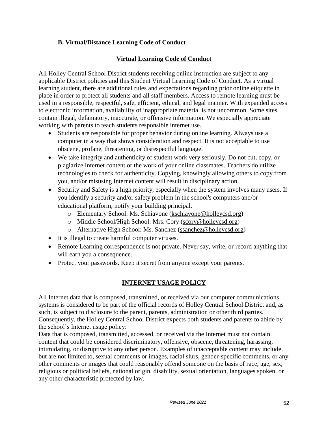#### **B. Virtual/Distance Learning Code of Conduct**

#### **Virtual Learning Code of Conduct**

All Holley Central School District students receiving online instruction are subject to any applicable District policies and this Student Virtual Learning Code of Conduct. As a virtual learning student, there are additional rules and expectations regarding prior online etiquette in place in order to protect all students and all staff members. Access to remote learning must be used in a responsible, respectful, safe, efficient, ethical, and legal manner. With expanded access to electronic information, availability of inappropriate material is not uncommon. Some sites contain illegal, defamatory, inaccurate, or offensive information. We especially appreciate working with parents to teach students responsible internet use.

- Students are responsible for proper behavior during online learning. Always use a computer in a way that shows consideration and respect. It is not acceptable to use obscene, profane, threatening, or disrespectful language.
- We take integrity and authenticity of student work very seriously. Do not cut, copy, or plagiarize Internet content or the work of your online classmates. Teachers do utilize technologies to check for authenticity. Copying, knowingly allowing others to copy from you, and/or misusing Internet content will result in disciplinary action.
- Security and Safety is a high priority, especially when the system involves many users. If you identify a security and/or safety problem in the school's computers and/or educational platform, notify your building principal.
	- o Elementary School: Ms. Schiavone [\(kschiavone@holleycsd.org\)](mailto:kschiavone@holleycsd.org)
	- o Middle School/High School: Mrs. Cory [\(scory@holleycsd.org\)](mailto:scory@holleycsd.org)
	- o Alternative High School: Ms. Sanchez [\(ssanchez@holleycsd.org\)](mailto:ssanchez@holleycsd.org)
- It is illegal to create harmful computer viruses.
- Remote Learning correspondence is not private. Never say, write, or record anything that will earn you a consequence.
- Protect your passwords. Keep it secret from anyone except your parents.

#### **INTERNET USAGE POLICY**

All Internet data that is composed, transmitted, or received via our computer communications systems is considered to be part of the official records of Holley Central School District and, as such, is subject to disclosure to the parent, parents, administration or other third parties. Consequently, the Holley Central School District expects both students and parents to abide by the school's Internet usage policy:

Data that is composed, transmitted, accessed, or received via the Internet must not contain content that could be considered discriminatory, offensive, obscene, threatening, harassing, intimidating, or disruptive to any other person. Examples of unacceptable content may include, but are not limited to, sexual comments or images, racial slurs, gender-specific comments, or any other comments or images that could reasonably offend someone on the basis of race, age, sex, religious or political beliefs, national origin, disability, sexual orientation, languages spoken, or any other characteristic protected by law.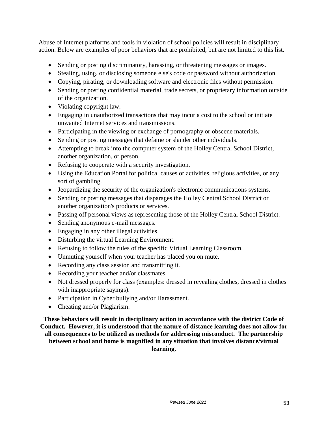Abuse of Internet platforms and tools in violation of school policies will result in disciplinary action. Below are examples of poor behaviors that are prohibited, but are not limited to this list.

- Sending or posting discriminatory, harassing, or threatening messages or images.
- Stealing, using, or disclosing someone else's code or password without authorization.
- Copying, pirating, or downloading software and electronic files without permission.
- Sending or posting confidential material, trade secrets, or proprietary information outside of the organization.
- Violating copyright law.
- Engaging in unauthorized transactions that may incur a cost to the school or initiate unwanted Internet services and transmissions.
- Participating in the viewing or exchange of pornography or obscene materials.
- Sending or posting messages that defame or slander other individuals.
- Attempting to break into the computer system of the Holley Central School District, another organization, or person.
- Refusing to cooperate with a security investigation.
- Using the Education Portal for political causes or activities, religious activities, or any sort of gambling.
- Jeopardizing the security of the organization's electronic communications systems.
- Sending or posting messages that disparages the Holley Central School District or another organization's products or services.
- Passing off personal views as representing those of the Holley Central School District.
- Sending anonymous e-mail messages.
- Engaging in any other illegal activities.
- Disturbing the virtual Learning Environment.
- Refusing to follow the rules of the specific Virtual Learning Classroom.
- Unmuting yourself when your teacher has placed you on mute.
- Recording any class session and transmitting it.
- Recording your teacher and/or classmates.
- Not dressed properly for class (examples: dressed in revealing clothes, dressed in clothes with inappropriate sayings).
- Participation in Cyber bullying and/or Harassment.
- Cheating and/or Plagiarism.

**These behaviors will result in disciplinary action in accordance with the district Code of Conduct. However, it is understood that the nature of distance learning does not allow for all consequences to be utilized as methods for addressing misconduct. The partnership between school and home is magnified in any situation that involves distance/virtual learning.**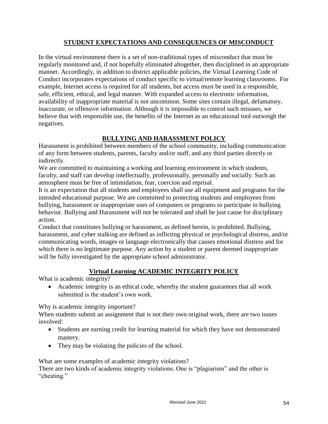#### **STUDENT EXPECTATIONS AND CONSEQUENCES OF MISCONDUCT**

In the virtual environment there is a set of non-traditional types of misconduct that must be regularly monitored and, if not hopefully eliminated altogether, then disciplined in an appropriate manner. Accordingly, in addition to district applicable policies, the Virtual Learning Code of Conduct incorporates expectations of conduct specific to virtual/remote learning classrooms.  For example, Internet access is required for all students, but access must be used in a responsible, safe, efficient, ethical, and legal manner. With expanded access to electronic information, availability of inappropriate material is not uncommon. Some sites contain illegal, defamatory, inaccurate, or offensive information. Although it is impossible to control such misuses, we believe that with responsible use, the benefits of the Internet as an educational tool outweigh the negatives.

#### **BULLYING AND HARASSMENT POLICY**

Harassment is prohibited between members of the school community, including communication of any form between students, parents, faculty and/or staff, and any third parties directly or indirectly.

We are committed to maintaining a working and learning environment in which students, faculty, and staff can develop intellectually, professionally, personally and socially. Such an atmosphere must be free of intimidation, fear, coercion and reprisal.

It is an expectation that all students and employees shall use all equipment and programs for the intended educational purpose. We are committed to protecting students and employees from bullying, harassment or inappropriate uses of computers or programs to participate in bullying behavior. Bullying and Harassment will not be tolerated and shall be just cause for disciplinary action.

Conduct that constitutes bullying or harassment, as defined herein, is prohibited. Bullying, harassment, and cyber stalking are defined as inflicting physical or psychological distress, and/or communicating words, images or language electronically that causes emotional distress and for which there is no legitimate purpose. Any action by a student or parent deemed inappropriate will be fully investigated by the appropriate school administrator.

#### **Virtual Learning ACADEMIC INTEGRITY POLICY**

What is academic integrity?

 Academic integrity is an ethical code, whereby the student guarantees that all work submitted is the student's own work.

Why is academic integrity important?

When students submit an assignment that is not their own original work, there are two issues involved:

- Students are earning credit for learning material for which they have not demonstrated mastery.
- They may be violating the policies of the school.

What are some examples of academic integrity violations?

There are two kinds of academic integrity violations. One is "plagiarism" and the other is "cheating."